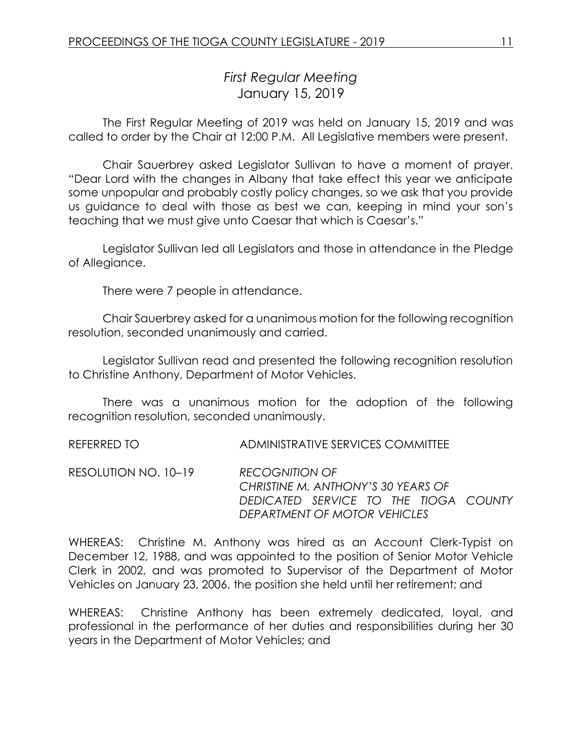# *First Regular Meeting* January 15, 2019

The First Regular Meeting of 2019 was held on January 15, 2019 and was called to order by the Chair at 12:00 P.M. All Legislative members were present.

Chair Sauerbrey asked Legislator Sullivan to have a moment of prayer. "Dear Lord with the changes in Albany that take effect this year we anticipate some unpopular and probably costly policy changes, so we ask that you provide us guidance to deal with those as best we can, keeping in mind your son's teaching that we must give unto Caesar that which is Caesar's."

Legislator Sullivan led all Legislators and those in attendance in the Pledge of Allegiance.

There were 7 people in attendance.

Chair Sauerbrey asked for a unanimous motion for the following recognition resolution, seconded unanimously and carried.

Legislator Sullivan read and presented the following recognition resolution to Christine Anthony, Department of Motor Vehicles.

There was a unanimous motion for the adoption of the following recognition resolution, seconded unanimously.

REFERRED TO ADMINISTRATIVE SERVICES COMMITTEE

RESOLUTION NO. 10–19 *RECOGNITION OF CHRISTINE M. ANTHONY'S 30 YEARS OF DEDICATED SERVICE TO THE TIOGA COUNTY DEPARTMENT OF MOTOR VEHICLES*

WHEREAS: Christine M. Anthony was hired as an Account Clerk-Typist on December 12, 1988, and was appointed to the position of Senior Motor Vehicle Clerk in 2002, and was promoted to Supervisor of the Department of Motor Vehicles on January 23, 2006, the position she held until her retirement; and

WHEREAS: Christine Anthony has been extremely dedicated, loyal, and professional in the performance of her duties and responsibilities during her 30 years in the Department of Motor Vehicles; and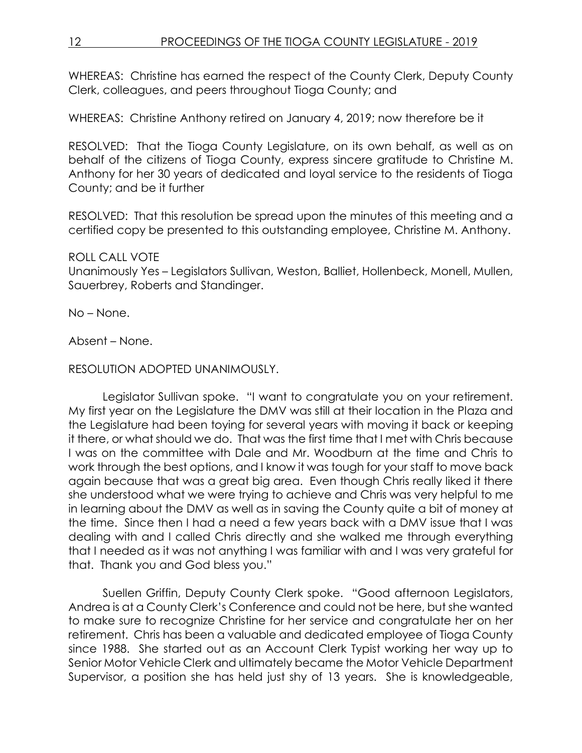WHEREAS: Christine has earned the respect of the County Clerk, Deputy County Clerk, colleagues, and peers throughout Tioga County; and

WHEREAS: Christine Anthony retired on January 4, 2019; now therefore be it

RESOLVED: That the Tioga County Legislature, on its own behalf, as well as on behalf of the citizens of Tioga County, express sincere gratitude to Christine M. Anthony for her 30 years of dedicated and loyal service to the residents of Tioga County; and be it further

RESOLVED: That this resolution be spread upon the minutes of this meeting and a certified copy be presented to this outstanding employee, Christine M. Anthony.

# ROLL CALL VOTE

Unanimously Yes – Legislators Sullivan, Weston, Balliet, Hollenbeck, Monell, Mullen, Sauerbrey, Roberts and Standinger.

No – None.

Absent – None.

RESOLUTION ADOPTED UNANIMOUSLY.

Legislator Sullivan spoke. "I want to congratulate you on your retirement. My first year on the Legislature the DMV was still at their location in the Plaza and the Legislature had been toying for several years with moving it back or keeping it there, or what should we do. That was the first time that I met with Chris because I was on the committee with Dale and Mr. Woodburn at the time and Chris to work through the best options, and I know it was tough for your staff to move back again because that was a great big area. Even though Chris really liked it there she understood what we were trying to achieve and Chris was very helpful to me in learning about the DMV as well as in saving the County quite a bit of money at the time. Since then I had a need a few years back with a DMV issue that I was dealing with and I called Chris directly and she walked me through everything that I needed as it was not anything I was familiar with and I was very grateful for that. Thank you and God bless you."

Suellen Griffin, Deputy County Clerk spoke. "Good afternoon Legislators, Andrea is at a County Clerk's Conference and could not be here, but she wanted to make sure to recognize Christine for her service and congratulate her on her retirement. Chris has been a valuable and dedicated employee of Tioga County since 1988. She started out as an Account Clerk Typist working her way up to Senior Motor Vehicle Clerk and ultimately became the Motor Vehicle Department Supervisor, a position she has held just shy of 13 years. She is knowledgeable,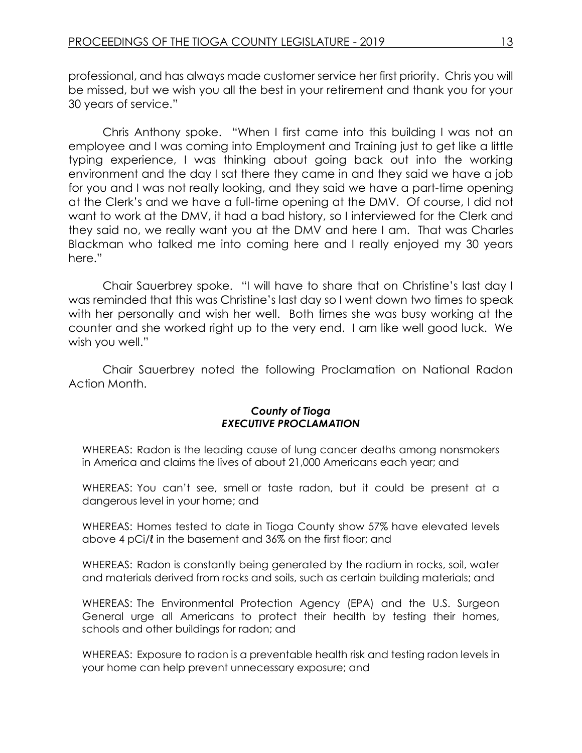professional, and has always made customer service her first priority. Chris you will be missed, but we wish you all the best in your retirement and thank you for your 30 years of service."

Chris Anthony spoke. "When I first came into this building I was not an employee and I was coming into Employment and Training just to get like a little typing experience, I was thinking about going back out into the working environment and the day I sat there they came in and they said we have a job for you and I was not really looking, and they said we have a part-time opening at the Clerk's and we have a full-time opening at the DMV. Of course, I did not want to work at the DMV, it had a bad history, so I interviewed for the Clerk and they said no, we really want you at the DMV and here I am. That was Charles Blackman who talked me into coming here and I really enjoyed my 30 years here."

Chair Sauerbrey spoke. "I will have to share that on Christine's last day I was reminded that this was Christine's last day so I went down two times to speak with her personally and wish her well. Both times she was busy working at the counter and she worked right up to the very end. I am like well good luck. We wish you well."

Chair Sauerbrey noted the following Proclamation on National Radon Action Month.

#### *County of Tioga EXECUTIVE PROCLAMATION*

WHEREAS: Radon is the leading cause of lung cancer deaths among nonsmokers in America and claims the lives of about 21,000 Americans each year; and

WHEREAS: You can't see, smell or taste radon, but it could be present at a dangerous level in your home; and

WHEREAS: Homes tested to date in Tioga County show 57% have elevated levels above 4 pCi/ℓ in the basement and 36% on the first floor; and

WHEREAS: Radon is constantly being generated by the radium in rocks, soil, water and materials derived from rocks and soils, such as certain building materials; and

WHEREAS: The Environmental Protection Agency (EPA) and the U.S. Surgeon General urge all Americans to protect their health by testing their homes, schools and other buildings for radon; and

WHEREAS: Exposure to radon is a preventable health risk and testing radon levels in your home can help prevent unnecessary exposure; and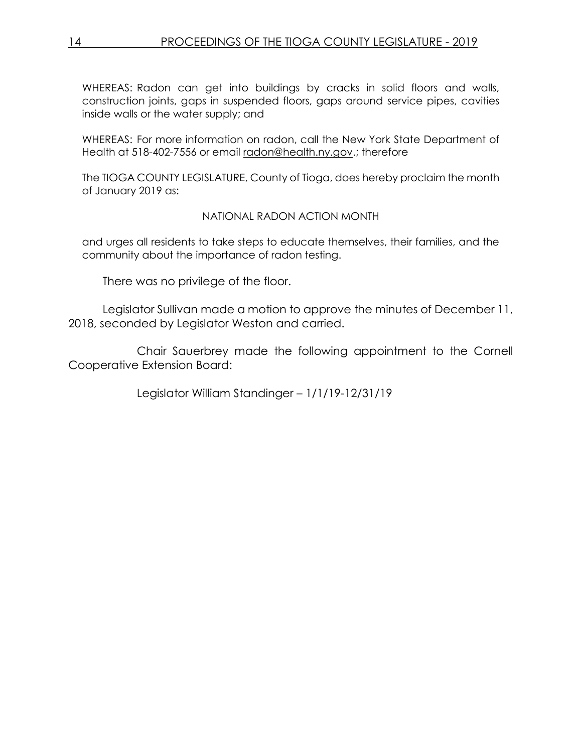WHEREAS: Radon can get into buildings by cracks in solid floors and walls, construction joints, gaps in suspended floors, gaps around service pipes, cavities inside walls or the water supply; and

WHEREAS: For more information on radon, call the New York State Department of Health at 518-402-7556 or email [radon@health.ny.gov.](mailto:radon@health.ny.gov); therefore

The TIOGA COUNTY LEGISLATURE, County of Tioga, does hereby proclaim the month of January 2019 as:

#### NATIONAL RADON ACTION MONTH

and urges all residents to take steps to educate themselves, their families, and the community about the importance of radon testing.

There was no privilege of the floor.

Legislator Sullivan made a motion to approve the minutes of December 11, 2018, seconded by Legislator Weston and carried.

Chair Sauerbrey made the following appointment to the Cornell Cooperative Extension Board:

Legislator William Standinger – 1/1/19-12/31/19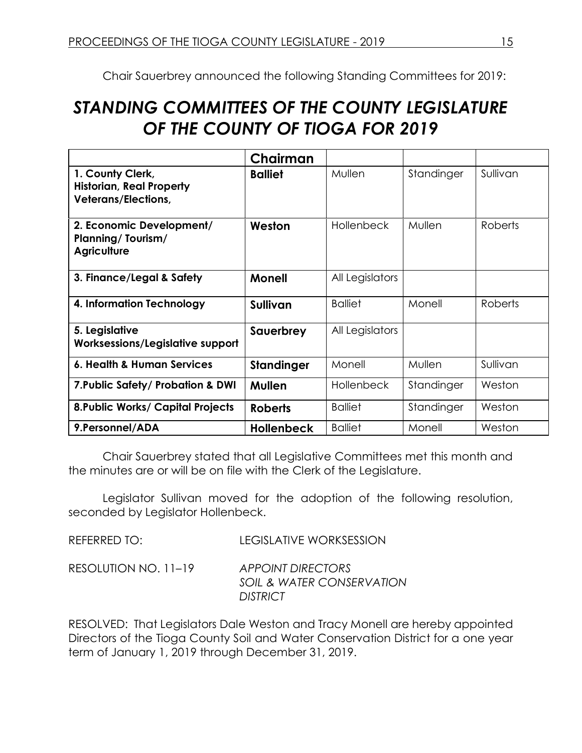Chair Sauerbrey announced the following Standing Committees for 2019:

# *STANDING COMMITTEES OF THE COUNTY LEGISLATURE OF THE COUNTY OF TIOGA FOR 2019*

|                                                                                   | Chairman          |                   |            |                |
|-----------------------------------------------------------------------------------|-------------------|-------------------|------------|----------------|
| 1. County Clerk,<br><b>Historian, Real Property</b><br><b>Veterans/Elections,</b> | <b>Balliet</b>    | Mullen            | Standinger | Sullivan       |
| 2. Economic Development/<br><b>Planning/Tourism/</b><br><b>Agriculture</b>        | Weston            | <b>Hollenbeck</b> | Mullen     | <b>Roberts</b> |
| 3. Finance/Legal & Safety                                                         | <b>Monell</b>     | All Legislators   |            |                |
| 4. Information Technology                                                         | <b>Sullivan</b>   | <b>Balliet</b>    | Monell     | <b>Roberts</b> |
| 5. Legislative<br>Worksessions/Legislative support                                | Sauerbrey         | All Legislators   |            |                |
| 6. Health & Human Services                                                        | <b>Standinger</b> | Monell            | Mullen     | Sullivan       |
| 7. Public Safety/ Probation & DWI                                                 | Mullen            | <b>Hollenbeck</b> | Standinger | Weston         |
| <b>8. Public Works/ Capital Projects</b>                                          | <b>Roberts</b>    | <b>Balliet</b>    | Standinger | Weston         |
| 9. Personnel/ADA                                                                  | <b>Hollenbeck</b> | <b>Balliet</b>    | Monell     | Weston         |

Chair Sauerbrey stated that all Legislative Committees met this month and the minutes are or will be on file with the Clerk of the Legislature.

Legislator Sullivan moved for the adoption of the following resolution, seconded by Legislator Hollenbeck.

REFERRED TO: LEGISLATIVE WORKSESSION

RESOLUTION NO. 11–19 *APPOINT DIRECTORS SOIL & WATER CONSERVATION DISTRICT*

RESOLVED: That Legislators Dale Weston and Tracy Monell are hereby appointed Directors of the Tioga County Soil and Water Conservation District for a one year term of January 1, 2019 through December 31, 2019.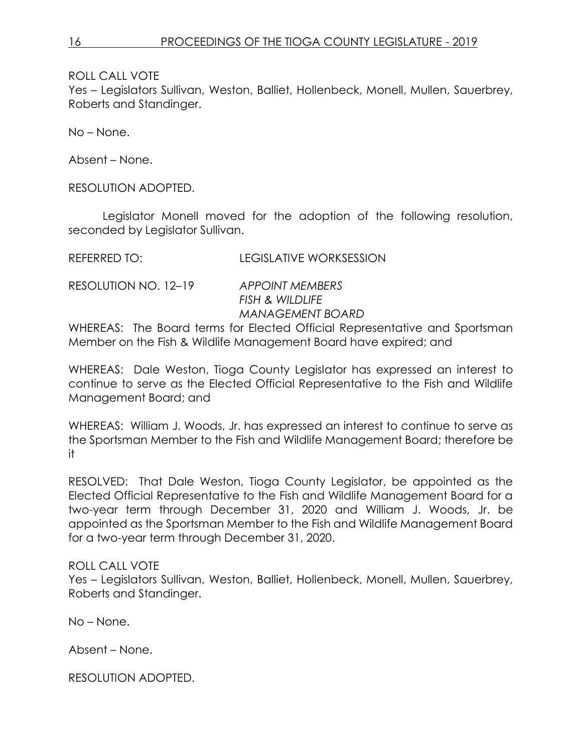Yes – Legislators Sullivan, Weston, Balliet, Hollenbeck, Monell, Mullen, Sauerbrey, Roberts and Standinger.

No – None.

Absent – None.

RESOLUTION ADOPTED.

Legislator Monell moved for the adoption of the following resolution, seconded by Legislator Sullivan.

REFERRED TO: LEGISLATIVE WORKSESSION

RESOLUTION NO. 12–19 *APPOINT MEMBERS*

*FISH & WILDLIFE MANAGEMENT BOARD*

WHEREAS: The Board terms for Elected Official Representative and Sportsman Member on the Fish & Wildlife Management Board have expired; and

WHEREAS: Dale Weston, Tioga County Legislator has expressed an interest to continue to serve as the Elected Official Representative to the Fish and Wildlife Management Board; and

WHEREAS: William J. Woods, Jr. has expressed an interest to continue to serve as the Sportsman Member to the Fish and Wildlife Management Board; therefore be it

RESOLVED: That Dale Weston, Tioga County Legislator, be appointed as the Elected Official Representative to the Fish and Wildlife Management Board for a two-year term through December 31, 2020 and William J. Woods, Jr. be appointed as the Sportsman Member to the Fish and Wildlife Management Board for a two-year term through December 31, 2020.

# ROLL CALL VOTE

Yes – Legislators Sullivan, Weston, Balliet, Hollenbeck, Monell, Mullen, Sauerbrey, Roberts and Standinger.

No – None.

Absent – None.

RESOLUTION ADOPTED.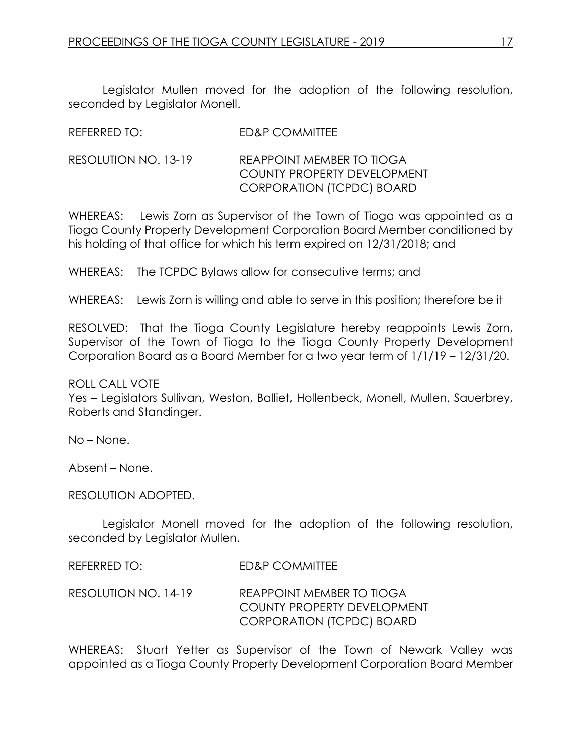Legislator Mullen moved for the adoption of the following resolution, seconded by Legislator Monell.

| <b>ED&amp;P COMMITTEE</b> |
|---------------------------|
|                           |

RESOLUTION NO. 13-19 REAPPOINT MEMBER TO TIOGA COUNTY PROPERTY DEVELOPMENT CORPORATION (TCPDC) BOARD

WHEREAS: Lewis Zorn as Supervisor of the Town of Tioga was appointed as a Tioga County Property Development Corporation Board Member conditioned by his holding of that office for which his term expired on 12/31/2018; and

WHEREAS: The TCPDC Bylaws allow for consecutive terms; and

WHEREAS: Lewis Zorn is willing and able to serve in this position; therefore be it

RESOLVED: That the Tioga County Legislature hereby reappoints Lewis Zorn, Supervisor of the Town of Tioga to the Tioga County Property Development Corporation Board as a Board Member for a two year term of 1/1/19 – 12/31/20.

ROLL CALL VOTE

Yes – Legislators Sullivan, Weston, Balliet, Hollenbeck, Monell, Mullen, Sauerbrey, Roberts and Standinger.

No – None.

Absent – None.

RESOLUTION ADOPTED.

Legislator Monell moved for the adoption of the following resolution, seconded by Legislator Mullen.

REFERRED TO: ED&P COMMITTEE

RESOLUTION NO. 14-19 REAPPOINT MEMBER TO TIOGA COUNTY PROPERTY DEVELOPMENT CORPORATION (TCPDC) BOARD

WHEREAS: Stuart Yetter as Supervisor of the Town of Newark Valley was appointed as a Tioga County Property Development Corporation Board Member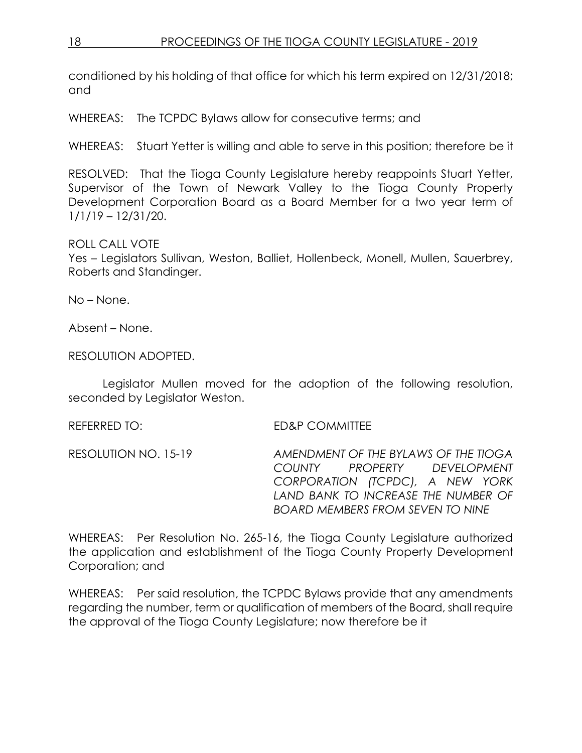conditioned by his holding of that office for which his term expired on 12/31/2018; and

WHEREAS: The TCPDC Bylaws allow for consecutive terms; and

WHEREAS: Stuart Yetter is willing and able to serve in this position; therefore be it

RESOLVED: That the Tioga County Legislature hereby reappoints Stuart Yetter, Supervisor of the Town of Newark Valley to the Tioga County Property Development Corporation Board as a Board Member for a two year term of 1/1/19 – 12/31/20.

# ROLL CALL VOTE

Yes – Legislators Sullivan, Weston, Balliet, Hollenbeck, Monell, Mullen, Sauerbrey, Roberts and Standinger.

No – None.

Absent – None.

RESOLUTION ADOPTED.

Legislator Mullen moved for the adoption of the following resolution, seconded by Legislator Weston.

REFERRED TO: ED&P COMMITTEE

RESOLUTION NO. 15-19 *AMENDMENT OF THE BYLAWS OF THE TIOGA COUNTY PROPERTY DEVELOPMENT CORPORATION (TCPDC), A NEW YORK LAND BANK TO INCREASE THE NUMBER OF BOARD MEMBERS FROM SEVEN TO NINE* 

WHEREAS: Per Resolution No. 265-16, the Tioga County Legislature authorized the application and establishment of the Tioga County Property Development Corporation; and

WHEREAS: Per said resolution, the TCPDC Bylaws provide that any amendments regarding the number, term or qualification of members of the Board, shall require the approval of the Tioga County Legislature; now therefore be it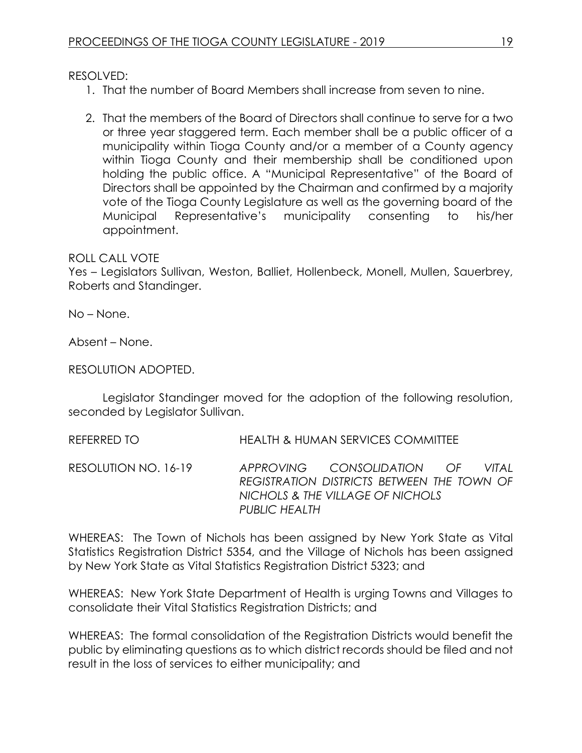RESOLVED:

- 1. That the number of Board Members shall increase from seven to nine.
- 2. That the members of the Board of Directors shall continue to serve for a two or three year staggered term. Each member shall be a public officer of a municipality within Tioga County and/or a member of a County agency within Tioga County and their membership shall be conditioned upon holding the public office. A "Municipal Representative" of the Board of Directors shall be appointed by the Chairman and confirmed by a majority vote of the Tioga County Legislature as well as the governing board of the Municipal Representative's municipality consenting to his/her appointment.

#### ROLL CALL VOTE

Yes – Legislators Sullivan, Weston, Balliet, Hollenbeck, Monell, Mullen, Sauerbrey, Roberts and Standinger.

No – None.

Absent – None.

RESOLUTION ADOPTED.

Legislator Standinger moved for the adoption of the following resolution, seconded by Legislator Sullivan.

REFERRED TO HEALTH & HUMAN SERVICES COMMITTEE

RESOLUTION NO. 16-19 *APPROVING CONSOLIDATION OF VITAL REGISTRATION DISTRICTS BETWEEN THE TOWN OF NICHOLS & THE VILLAGE OF NICHOLS PUBLIC HEALTH* 

WHEREAS: The Town of Nichols has been assigned by New York State as Vital Statistics Registration District 5354, and the Village of Nichols has been assigned by New York State as Vital Statistics Registration District 5323; and

WHEREAS: New York State Department of Health is urging Towns and Villages to consolidate their Vital Statistics Registration Districts; and

WHEREAS: The formal consolidation of the Registration Districts would benefit the public by eliminating questions as to which district records should be filed and not result in the loss of services to either municipality; and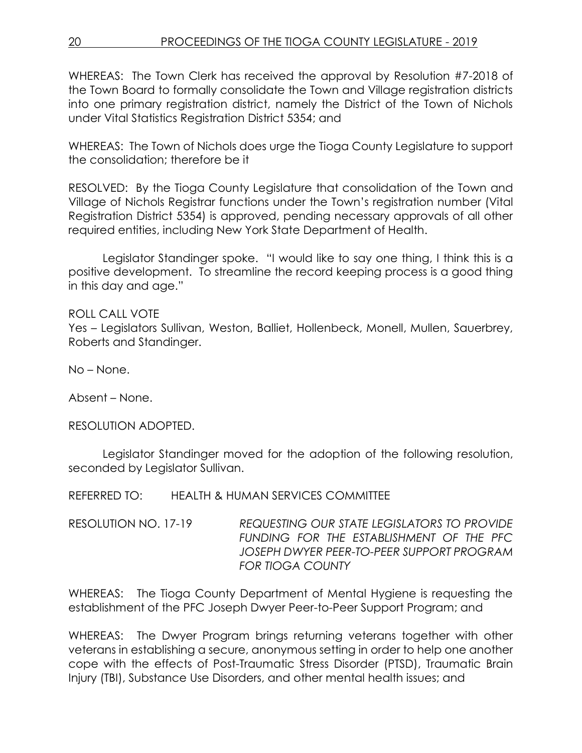WHEREAS: The Town Clerk has received the approval by Resolution #7-2018 of the Town Board to formally consolidate the Town and Village registration districts into one primary registration district, namely the District of the Town of Nichols under Vital Statistics Registration District 5354; and

WHEREAS: The Town of Nichols does urge the Tioga County Legislature to support the consolidation; therefore be it

RESOLVED: By the Tioga County Legislature that consolidation of the Town and Village of Nichols Registrar functions under the Town's registration number (Vital Registration District 5354) is approved, pending necessary approvals of all other required entities, including New York State Department of Health.

Legislator Standinger spoke. "I would like to say one thing, I think this is a positive development. To streamline the record keeping process is a good thing in this day and age."

ROLL CALL VOTE Yes – Legislators Sullivan, Weston, Balliet, Hollenbeck, Monell, Mullen, Sauerbrey, Roberts and Standinger.

No – None.

Absent – None.

RESOLUTION ADOPTED.

Legislator Standinger moved for the adoption of the following resolution, seconded by Legislator Sullivan.

REFERRED TO: HEALTH & HUMAN SERVICES COMMITTEE

RESOLUTION NO. 17-19 *REQUESTING OUR STATE LEGISLATORS TO PROVIDE FUNDING FOR THE ESTABLISHMENT OF THE PFC JOSEPH DWYER PEER-TO-PEER SUPPORT PROGRAM FOR TIOGA COUNTY* 

WHEREAS: The Tioga County Department of Mental Hygiene is requesting the establishment of the PFC Joseph Dwyer Peer-to-Peer Support Program; and

WHEREAS: The Dwyer Program brings returning veterans together with other veterans in establishing a secure, anonymous setting in order to help one another cope with the effects of Post-Traumatic Stress Disorder (PTSD), Traumatic Brain Injury (TBI), Substance Use Disorders, and other mental health issues; and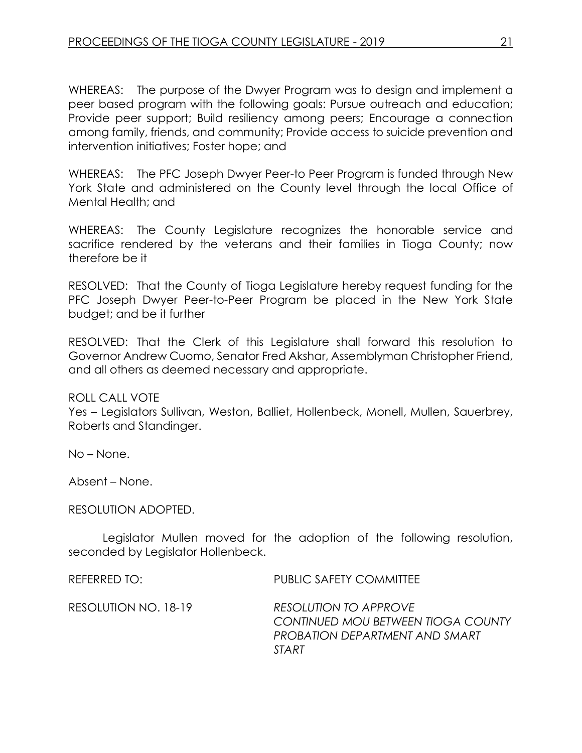WHEREAS: The purpose of the Dwyer Program was to design and implement a peer based program with the following goals: Pursue outreach and education; Provide peer support; Build resiliency among peers; Encourage a connection among family, friends, and community; Provide access to suicide prevention and intervention initiatives; Foster hope; and

WHEREAS: The PFC Joseph Dwyer Peer-to Peer Program is funded through New York State and administered on the County level through the local Office of Mental Health; and

WHEREAS: The County Legislature recognizes the honorable service and sacrifice rendered by the veterans and their families in Tioga County; now therefore be it

RESOLVED: That the County of Tioga Legislature hereby request funding for the PFC Joseph Dwyer Peer-to-Peer Program be placed in the New York State budget; and be it further

RESOLVED: That the Clerk of this Legislature shall forward this resolution to Governor Andrew Cuomo, Senator Fred Akshar, Assemblyman Christopher Friend, and all others as deemed necessary and appropriate.

ROLL CALL VOTE

Yes – Legislators Sullivan, Weston, Balliet, Hollenbeck, Monell, Mullen, Sauerbrey, Roberts and Standinger.

No – None.

Absent – None.

RESOLUTION ADOPTED.

Legislator Mullen moved for the adoption of the following resolution, seconded by Legislator Hollenbeck.

REFERRED TO: PUBLIC SAFETY COMMITTEE

RESOLUTION NO. 18-19 *RESOLUTION TO APPROVE CONTINUED MOU BETWEEN TIOGA COUNTY PROBATION DEPARTMENT AND SMART START*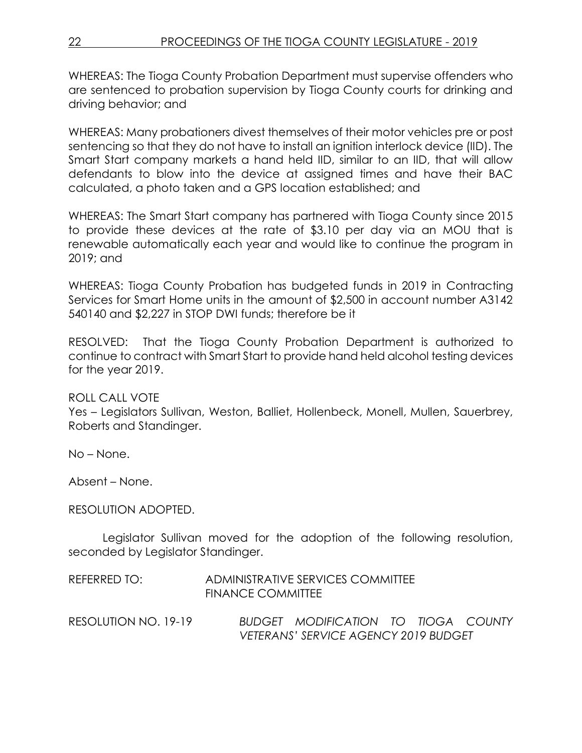WHEREAS: The Tioga County Probation Department must supervise offenders who are sentenced to probation supervision by Tioga County courts for drinking and driving behavior; and

WHEREAS: Many probationers divest themselves of their motor vehicles pre or post sentencing so that they do not have to install an ignition interlock device (IID). The Smart Start company markets a hand held IID, similar to an IID, that will allow defendants to blow into the device at assigned times and have their BAC calculated, a photo taken and a GPS location established; and

WHEREAS: The Smart Start company has partnered with Tioga County since 2015 to provide these devices at the rate of \$3.10 per day via an MOU that is renewable automatically each year and would like to continue the program in 2019; and

WHEREAS: Tioga County Probation has budgeted funds in 2019 in Contracting Services for Smart Home units in the amount of \$2,500 in account number A3142 540140 and \$2,227 in STOP DWI funds; therefore be it

RESOLVED: That the Tioga County Probation Department is authorized to continue to contract with Smart Start to provide hand held alcohol testing devices for the year 2019.

# ROLL CALL VOTE

Yes – Legislators Sullivan, Weston, Balliet, Hollenbeck, Monell, Mullen, Sauerbrey, Roberts and Standinger.

No – None.

Absent – None.

#### RESOLUTION ADOPTED.

Legislator Sullivan moved for the adoption of the following resolution, seconded by Legislator Standinger.

| REFERRED TO: | ADMINISTRATIVE SERVICES COMMITTEE |
|--------------|-----------------------------------|
|              | <b>FINANCE COMMITTEE</b>          |

RESOLUTION NO. 19-19 *BUDGET MODIFICATION TO TIOGA COUNTY VETERANS' SERVICE AGENCY 2019 BUDGET*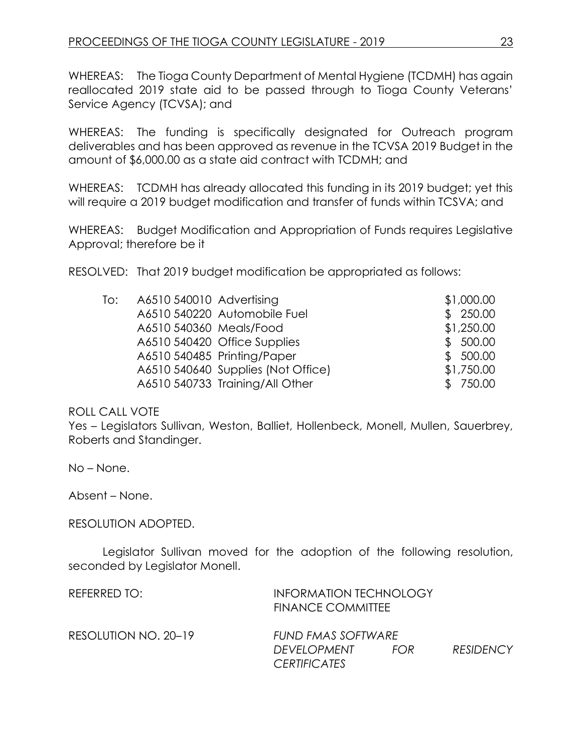WHEREAS: The Tioga County Department of Mental Hygiene (TCDMH) has again reallocated 2019 state aid to be passed through to Tioga County Veterans' Service Agency (TCVSA); and

WHEREAS: The funding is specifically designated for Outreach program deliverables and has been approved as revenue in the TCVSA 2019 Budget in the amount of \$6,000.00 as a state aid contract with TCDMH; and

WHEREAS: TCDMH has already allocated this funding in its 2019 budget; yet this will require a 2019 budget modification and transfer of funds within TCSVA; and

WHEREAS: Budget Modification and Appropriation of Funds requires Legislative Approval; therefore be it

RESOLVED: That 2019 budget modification be appropriated as follows:

| To: | A6510 540010 Advertising |                                    | \$1,000.00 |
|-----|--------------------------|------------------------------------|------------|
|     |                          | A6510 540220 Automobile Fuel       | \$250.00   |
|     | A6510 540360 Meals/Food  |                                    | \$1,250.00 |
|     |                          | A6510 540420 Office Supplies       | \$500.00   |
|     |                          | A6510 540485 Printing/Paper        | \$500.00   |
|     |                          | A6510 540640 Supplies (Not Office) | \$1,750.00 |
|     |                          | A6510 540733 Training/All Other    | \$750.00   |

#### ROLL CALL VOTE

Yes – Legislators Sullivan, Weston, Balliet, Hollenbeck, Monell, Mullen, Sauerbrey, Roberts and Standinger.

No – None.

Absent – None.

#### RESOLUTION ADOPTED.

Legislator Sullivan moved for the adoption of the following resolution, seconded by Legislator Monell.

| REFERRED TO:         | <b>INFORMATION TECHNOLOGY</b><br><b>FINANCE COMMITTEE</b> |      |                  |
|----------------------|-----------------------------------------------------------|------|------------------|
| RESOLUTION NO. 20–19 | FUND FMAS SOFTWARE<br>DEVELOPMENT<br><i>CERTIFICATES</i>  | FOR. | <b>RESIDENCY</b> |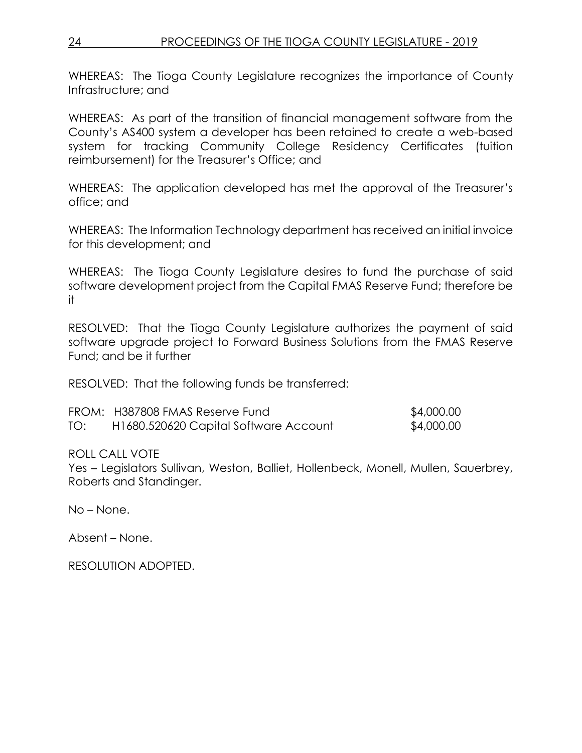WHEREAS: The Tioga County Legislature recognizes the importance of County Infrastructure; and

WHEREAS: As part of the transition of financial management software from the County's AS400 system a developer has been retained to create a web-based system for tracking Community College Residency Certificates (tuition reimbursement) for the Treasurer's Office; and

WHEREAS: The application developed has met the approval of the Treasurer's office; and

WHEREAS: The Information Technology department has received an initial invoice for this development; and

WHEREAS: The Tioga County Legislature desires to fund the purchase of said software development project from the Capital FMAS Reserve Fund; therefore be it

RESOLVED: That the Tioga County Legislature authorizes the payment of said software upgrade project to Forward Business Solutions from the FMAS Reserve Fund; and be it further

RESOLVED: That the following funds be transferred:

|     | FROM: H387808 FMAS Reserve Fund       | \$4,000.00 |
|-----|---------------------------------------|------------|
| TO: | H1680.520620 Capital Software Account | \$4,000.00 |

ROLL CALL VOTE

Yes – Legislators Sullivan, Weston, Balliet, Hollenbeck, Monell, Mullen, Sauerbrey, Roberts and Standinger.

No – None.

Absent – None.

RESOLUTION ADOPTED.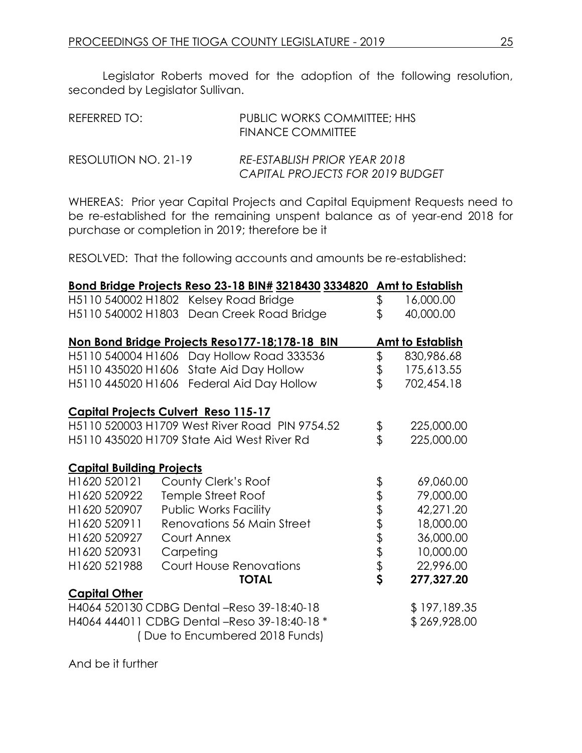Legislator Roberts moved for the adoption of the following resolution, seconded by Legislator Sullivan.

| REFERRED TO:         | PUBLIC WORKS COMMITTEE; HHS<br><b>FINANCE COMMITTEE</b>          |
|----------------------|------------------------------------------------------------------|
| RESOLUTION NO. 21-19 | RE-ESTABLISH PRIOR YEAR 2018<br>CAPITAL PROJECTS FOR 2019 BUDGET |

WHEREAS: Prior year Capital Projects and Capital Equipment Requests need to be re-established for the remaining unspent balance as of year-end 2018 for purchase or completion in 2019; therefore be it

RESOLVED: That the following accounts and amounts be re-established:

|                                             |                                | Bond Bridge Projects Reso 23-18 BIN# 3218430 3334820 Amt to Establish |       |                         |
|---------------------------------------------|--------------------------------|-----------------------------------------------------------------------|-------|-------------------------|
| H5110 540002 H1802 Kelsey Road Bridge       |                                |                                                                       | \$    | 16,000.00               |
|                                             |                                | H5110 540002 H1803 Dean Creek Road Bridge                             | \$    | 40,000.00               |
|                                             |                                | Non Bond Bridge Projects Reso177-18;178-18 BIN                        |       | <b>Amt to Establish</b> |
| H5110 540004 H1606                          |                                | Day Hollow Road 333536                                                | \$    | 830,986.68              |
| H5110 435020 H1606                          |                                | State Aid Day Hollow                                                  | \$    | 175,613.55              |
| H5110 445020 H1606                          |                                | Federal Aid Day Hollow                                                | \$    | 702,454.18              |
| <b>Capital Projects Culvert Reso 115-17</b> |                                |                                                                       |       |                         |
|                                             |                                | H5110 520003 H1709 West River Road PIN 9754.52                        | \$    | 225,000.00              |
| H5110 435020 H1709 State Aid West River Rd  |                                |                                                                       | \$    | 225,000.00              |
| <b>Capital Building Projects</b>            |                                |                                                                       |       |                         |
| H1620 520121                                | County Clerk's Roof            |                                                                       |       | 69,060.00               |
| H1620 520922                                | Temple Street Roof             |                                                                       |       | 79,000.00               |
| H1620 520907                                | <b>Public Works Facility</b>   |                                                                       |       | 42,271.20               |
| H1620 520911                                |                                | Renovations 56 Main Street                                            |       | 18,000.00               |
| H1620 520927                                | Court Annex                    |                                                                       | とさまます | 36,000.00               |
| H1620 520931                                | Carpeting                      |                                                                       |       | 10,000.00               |
| H1620 521988                                | <b>Court House Renovations</b> |                                                                       |       | 22,996.00               |
|                                             |                                | <b>TOTAL</b>                                                          |       | 277,327.20              |
| <b>Capital Other</b>                        |                                |                                                                       |       |                         |
|                                             |                                | H4064 520130 CDBG Dental -Reso 39-18:40-18                            |       | \$197,189.35            |
|                                             |                                | H4064 444011 CDBG Dental -Reso 39-18:40-18 *                          |       | \$269,928.00            |
|                                             |                                | Due to Encumbered 2018 Funds)                                         |       |                         |

And be it further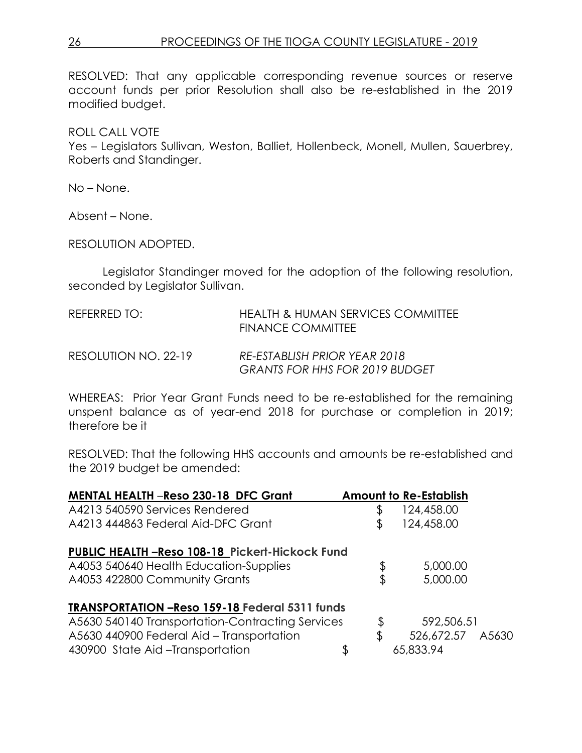RESOLVED: That any applicable corresponding revenue sources or reserve account funds per prior Resolution shall also be re-established in the 2019 modified budget.

ROLL CALL VOTE

Yes – Legislators Sullivan, Weston, Balliet, Hollenbeck, Monell, Mullen, Sauerbrey, Roberts and Standinger.

No – None.

Absent – None.

RESOLUTION ADOPTED.

Legislator Standinger moved for the adoption of the following resolution, seconded by Legislator Sullivan.

| REFERRED TO:         | HEALTH & HUMAN SERVICES COMMITTEE<br>FINANCE COMMITTEE                |
|----------------------|-----------------------------------------------------------------------|
| RESOLUTION NO. 22-19 | RE-ESTABLISH PRIOR YEAR 2018<br><b>GRANTS FOR HHS FOR 2019 BUDGET</b> |

WHEREAS: Prior Year Grant Funds need to be re-established for the remaining unspent balance as of year-end 2018 for purchase or completion in 2019; therefore be it

RESOLVED: That the following HHS accounts and amounts be re-established and the 2019 budget be amended:

| <b>MENTAL HEALTH -Reso 230-18 DFC Grant</b>           | <b>Amount to Re-Establish</b> |
|-------------------------------------------------------|-------------------------------|
| A4213 540590 Services Rendered                        | 124,458.00                    |
| A4213 444863 Federal Aid-DFC Grant                    | \$<br>124,458.00              |
| <b>PUBLIC HEALTH-Reso 108-18 Pickert-Hickock Fund</b> |                               |
| A4053 540640 Health Education-Supplies                | \$<br>5,000.00                |
| A4053 422800 Community Grants                         | \$<br>5,000.00                |
| <b>TRANSPORTATION -Reso 159-18 Federal 5311 funds</b> |                               |
| A5630 540140 Transportation-Contracting Services      | \$<br>592,506.51              |
| A5630 440900 Federal Aid - Transportation             | \$<br>526,672.57<br>A5630     |
| 430900 State Aid-Transportation                       | \$<br>65,833.94               |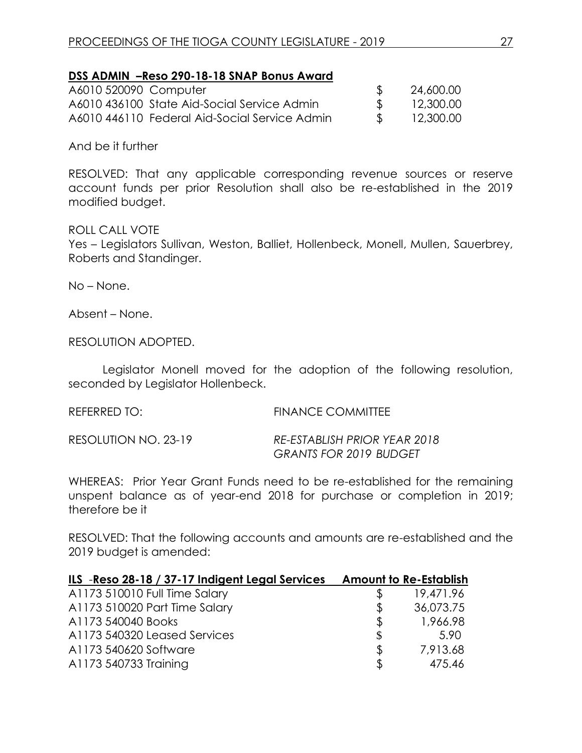#### **DSS ADMIN –Reso 290-18-18 SNAP Bonus Award**

| A6010 520090 Computer |                                               | 24,600.00 |
|-----------------------|-----------------------------------------------|-----------|
|                       | A6010 436100 State Aid-Social Service Admin   | 12,300.00 |
|                       | A6010 446110 Federal Aid-Social Service Admin | 12,300.00 |

And be it further

RESOLVED: That any applicable corresponding revenue sources or reserve account funds per prior Resolution shall also be re-established in the 2019 modified budget.

#### ROLL CALL VOTE

Yes – Legislators Sullivan, Weston, Balliet, Hollenbeck, Monell, Mullen, Sauerbrey, Roberts and Standinger.

No – None.

Absent – None.

RESOLUTION ADOPTED.

Legislator Monell moved for the adoption of the following resolution, seconded by Legislator Hollenbeck.

REFERRED TO: FINANCE COMMITTEE

RESOLUTION NO. 23-19 *RE-ESTABLISH PRIOR YEAR 2018 GRANTS FOR 2019 BUDGET*

WHEREAS: Prior Year Grant Funds need to be re-established for the remaining unspent balance as of year-end 2018 for purchase or completion in 2019; therefore be it

RESOLVED: That the following accounts and amounts are re-established and the 2019 budget is amended:

| ILS -Reso 28-18 / 37-17 Indigent Legal Services |     | <b>Amount to Re-Establish</b> |
|-------------------------------------------------|-----|-------------------------------|
| A1173 510010 Full Time Salary                   |     | 19,471.96                     |
| A1173 510020 Part Time Salary                   | £.  | 36,073.75                     |
| A1173 540040 Books                              | \$  | 1,966.98                      |
| A1173 540320 Leased Services                    | \$  | 5.90                          |
| A1173 540620 Software                           | \$. | 7,913.68                      |
| A1173 540733 Training                           | S   | 475.46                        |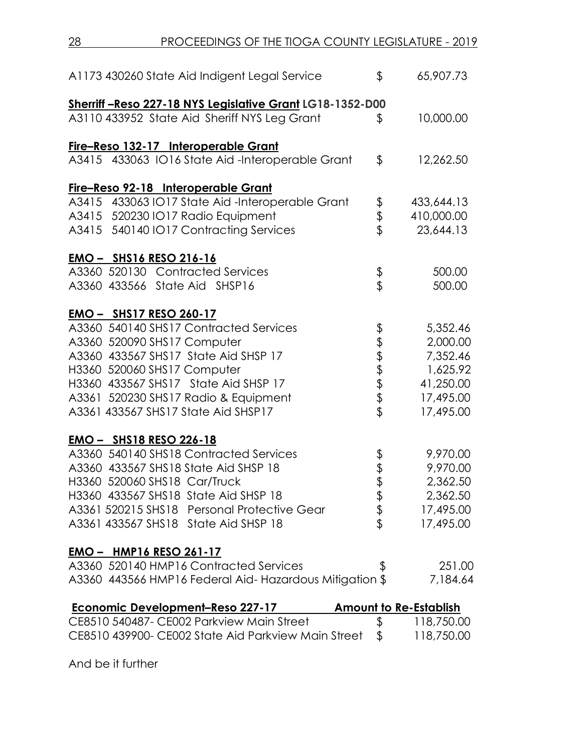| A1173 430260 State Aid Indigent Legal Service            | \$            | 65,907.73                     |
|----------------------------------------------------------|---------------|-------------------------------|
| Sherriff-Reso 227-18 NYS Legislative Grant LG18-1352-D00 |               |                               |
| A3110 433952 State Aid Sheriff NYS Leg Grant             | $\frac{1}{2}$ | 10,000.00                     |
| Fire-Reso 132-17 Interoperable Grant                     |               |                               |
| A3415 433063 IO16 State Aid-Interoperable Grant          | \$            | 12,262.50                     |
| Fire-Reso 92-18 Interoperable Grant                      |               |                               |
| A3415 433063 IO17 State Aid-Interoperable Grant          |               | 433,644.13                    |
| A3415 520230 IO17 Radio Equipment                        | \$<br>\$      | 410,000.00                    |
| A3415 540140 IO17 Contracting Services                   |               | 23,644.13                     |
| <u>EMO - SHS16 RESO 216-16</u>                           |               |                               |
| A3360 520130 Contracted Services                         | \$            | 500.00                        |
| A3360 433566 State Aid SHSP16                            |               | 500.00                        |
| EMO - SHS17 RESO 260-17                                  |               |                               |
| A3360 540140 SHS17 Contracted Services                   | \$            | 5,352.46                      |
| A3360 520090 SHS17 Computer                              |               | 2,000.00                      |
| A3360 433567 SHS17 State Aid SHSP 17                     | もまままま         | 7,352.46                      |
| H3360 520060 SHS17 Computer                              |               | 1,625.92                      |
| H3360 433567 SHS17 State Aid SHSP 17                     |               | 41,250.00                     |
| A3361 520230 SHS17 Radio & Equipment                     |               | 17,495.00                     |
| A3361 433567 SHS17 State Aid SHSP17                      |               | 17,495.00                     |
| <b>EMO - SHS18 RESO 226-18</b>                           |               |                               |
| A3360 540140 SHS18 Contracted Services                   |               | 9,970.00                      |
| A3360 433567 SHS18 State Aid SHSP 18                     | \$<br>\$      | 9,970.00                      |
| H3360 520060 SHS18 Car/Truck                             |               | 2,362.50                      |
| H3360 433567 SHS18 State Aid SHSP 18                     |               | 2,362.50                      |
| A3361 520215 SHS18 Personal Protective Gear              | マネマ           | 17,495.00                     |
| A3361 433567 SHS18 State Aid SHSP 18                     |               | 17,495.00                     |
| <b>EMO - HMP16 RESO 261-17</b>                           |               |                               |
| A3360 520140 HMP16 Contracted Services                   | \$            | 251.00                        |
| A3360 443566 HMP16 Federal Aid-Hazardous Mitigation \$   |               | 7,184.64                      |
| <b>Economic Development-Reso 227-17</b>                  |               | <b>Amount to Re-Establish</b> |
| CE8510 540487- CE002 Parkview Main Street                | \$            | 118,750.00                    |

CE8510 439900- CE002 State Aid Parkview Main Street \$ 118,750.00

And be it further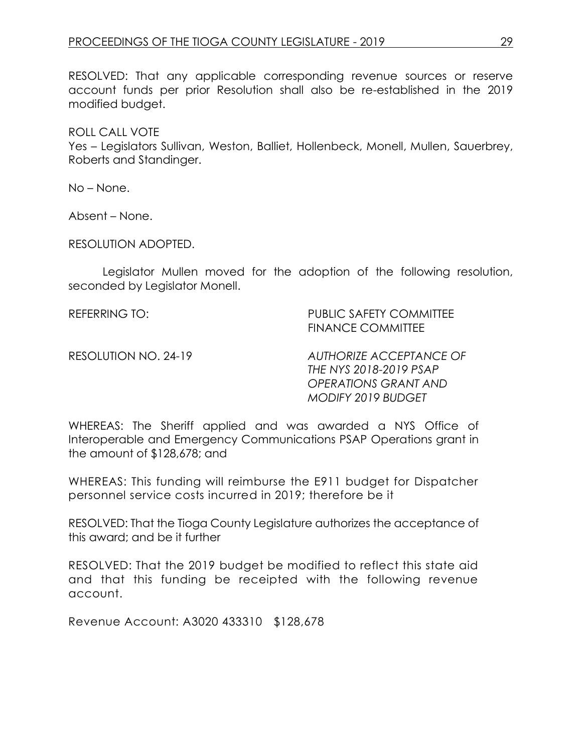RESOLVED: That any applicable corresponding revenue sources or reserve account funds per prior Resolution shall also be re-established in the 2019 modified budget.

ROLL CALL VOTE Yes – Legislators Sullivan, Weston, Balliet, Hollenbeck, Monell, Mullen, Sauerbrey, Roberts and Standinger.

No – None.

Absent – None.

RESOLUTION ADOPTED.

Legislator Mullen moved for the adoption of the following resolution, seconded by Legislator Monell.

REFERRING TO: PUBLIC SAFETY COMMITTEE FINANCE COMMITTEE

RESOLUTION NO. 24-19 *AUTHORIZE ACCEPTANCE OF THE NYS 2018-2019 PSAP OPERATIONS GRANT AND MODIFY 2019 BUDGET*

WHEREAS: The Sheriff applied and was awarded a NYS Office of Interoperable and Emergency Communications PSAP Operations grant in the amount of \$128,678; and

WHEREAS: This funding will reimburse the E911 budget for Dispatcher personnel service costs incurred in 2019; therefore be it

RESOLVED: That the Tioga County Legislature authorizes the acceptance of this award; and be it further

RESOLVED: That the 2019 budget be modified to reflect this state aid and that this funding be receipted with the following revenue account.

Revenue Account: A3020 433310 \$128,678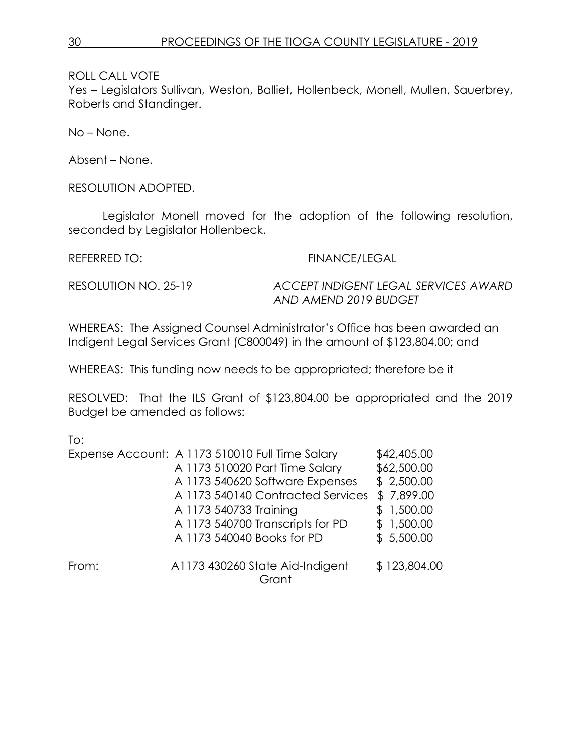Yes – Legislators Sullivan, Weston, Balliet, Hollenbeck, Monell, Mullen, Sauerbrey, Roberts and Standinger.

No – None.

Absent – None.

RESOLUTION ADOPTED.

Legislator Monell moved for the adoption of the following resolution, seconded by Legislator Hollenbeck.

REFERRED TO: FINANCE/LEGAL

RESOLUTION NO. 25-19 *ACCEPT INDIGENT LEGAL SERVICES AWARD AND AMEND 2019 BUDGET*

WHEREAS: The Assigned Counsel Administrator's Office has been awarded an Indigent Legal Services Grant (C800049) in the amount of \$123,804.00; and

WHEREAS: This funding now needs to be appropriated; therefore be it

RESOLVED: That the ILS Grant of \$123,804.00 be appropriated and the 2019 Budget be amended as follows:

To:

|       | Expense Account: A 1173 510010 Full Time Salary | \$42,405.00  |
|-------|-------------------------------------------------|--------------|
|       | A 1173 510020 Part Time Salary                  | \$62,500.00  |
|       | A 1173 540620 Software Expenses                 | \$2,500.00   |
|       | A 1173 540140 Contracted Services               | \$7,899.00   |
|       | A 1173 540733 Training                          | \$1,500.00   |
|       | A 1173 540700 Transcripts for PD                | \$1,500.00   |
|       | A 1173 540040 Books for PD                      | \$5,500.00   |
| From: | A1173 430260 State Aid-Indigent<br>Grant        | \$123,804.00 |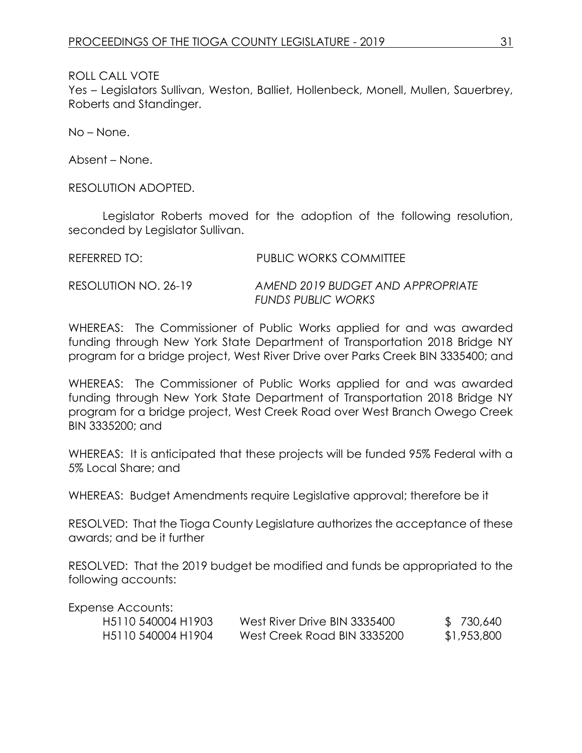Yes – Legislators Sullivan, Weston, Balliet, Hollenbeck, Monell, Mullen, Sauerbrey, Roberts and Standinger.

No – None.

Absent – None.

RESOLUTION ADOPTED.

Legislator Roberts moved for the adoption of the following resolution, seconded by Legislator Sullivan.

| REFERRED TO:         | <b>PUBLIC WORKS COMMITTEE</b>                                  |
|----------------------|----------------------------------------------------------------|
| RESOLUTION NO. 26-19 | AMEND 2019 BUDGET AND APPROPRIATE<br><b>FUNDS PUBLIC WORKS</b> |

WHEREAS: The Commissioner of Public Works applied for and was awarded funding through New York State Department of Transportation 2018 Bridge NY program for a bridge project, West River Drive over Parks Creek BIN 3335400; and

WHEREAS: The Commissioner of Public Works applied for and was awarded funding through New York State Department of Transportation 2018 Bridge NY program for a bridge project, West Creek Road over West Branch Owego Creek BIN 3335200; and

WHEREAS: It is anticipated that these projects will be funded 95% Federal with a 5% Local Share; and

WHEREAS: Budget Amendments require Legislative approval; therefore be it

RESOLVED: That the Tioga County Legislature authorizes the acceptance of these awards; and be it further

RESOLVED: That the 2019 budget be modified and funds be appropriated to the following accounts:

Expense Accounts:

| H <sub>5</sub> 110 540004 H <sub>1903</sub> | West River Drive BIN 3335400 | \$730,640   |
|---------------------------------------------|------------------------------|-------------|
| H <sub>5</sub> 110 540004 H <sub>1904</sub> | West Creek Road BIN 3335200  | \$1,953,800 |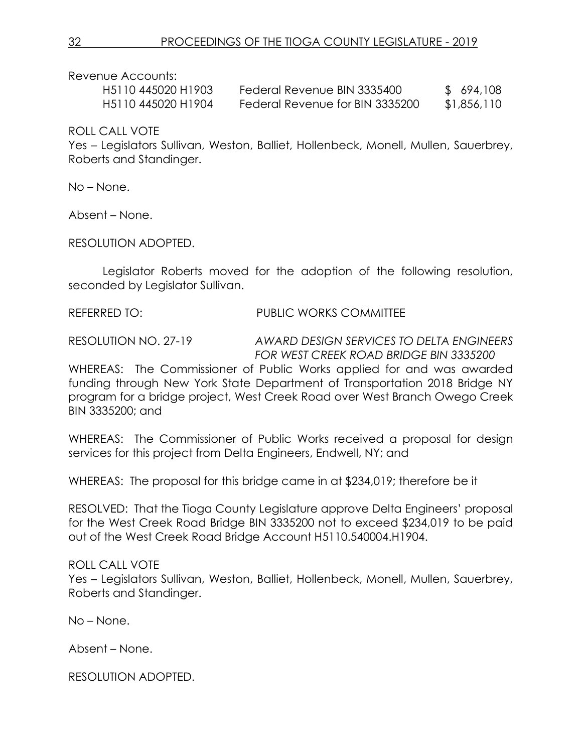Revenue Accounts:

| H5110 445020 H1903                          | Federal Revenue BIN 3335400     | \$694,108   |
|---------------------------------------------|---------------------------------|-------------|
| H <sub>5</sub> 110 445020 H <sub>1904</sub> | Federal Revenue for BIN 3335200 | \$1,856,110 |

ROLL CALL VOTE

Yes – Legislators Sullivan, Weston, Balliet, Hollenbeck, Monell, Mullen, Sauerbrey, Roberts and Standinger.

No – None.

Absent – None.

RESOLUTION ADOPTED.

Legislator Roberts moved for the adoption of the following resolution, seconded by Legislator Sullivan.

REFERRED TO: PUBLIC WORKS COMMITTEE

RESOLUTION NO. 27-19 *AWARD DESIGN SERVICES TO DELTA ENGINEERS FOR WEST CREEK ROAD BRIDGE BIN 3335200*

WHEREAS: The Commissioner of Public Works applied for and was awarded funding through New York State Department of Transportation 2018 Bridge NY program for a bridge project, West Creek Road over West Branch Owego Creek BIN 3335200; and

WHEREAS: The Commissioner of Public Works received a proposal for design services for this project from Delta Engineers, Endwell, NY; and

WHEREAS: The proposal for this bridge came in at \$234,019; therefore be it

RESOLVED: That the Tioga County Legislature approve Delta Engineers' proposal for the West Creek Road Bridge BIN 3335200 not to exceed \$234,019 to be paid out of the West Creek Road Bridge Account H5110.540004.H1904.

ROLL CALL VOTE

Yes – Legislators Sullivan, Weston, Balliet, Hollenbeck, Monell, Mullen, Sauerbrey, Roberts and Standinger.

No – None.

Absent – None.

RESOLUTION ADOPTED.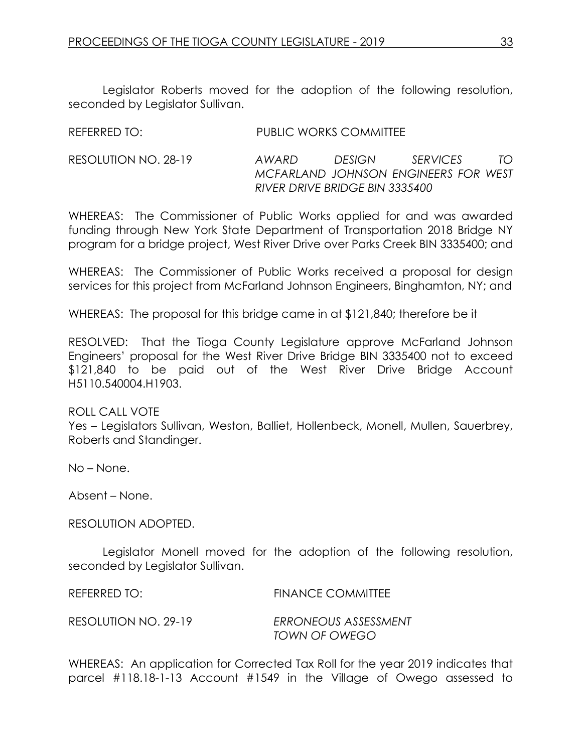Legislator Roberts moved for the adoption of the following resolution, seconded by Legislator Sullivan.

| REFERRED TO:         | PUBLIC WORKS COMMITTEE         |        |                                                         |    |
|----------------------|--------------------------------|--------|---------------------------------------------------------|----|
| RESOLUTION NO. 28-19 | AWARD                          | DESIGN | <i>SERVICES</i><br>MCFARLAND JOHNSON ENGINEERS FOR WEST | TO |
|                      | RIVER DRIVE BRIDGE BIN 3335400 |        |                                                         |    |

WHEREAS: The Commissioner of Public Works applied for and was awarded funding through New York State Department of Transportation 2018 Bridge NY program for a bridge project, West River Drive over Parks Creek BIN 3335400; and

WHEREAS: The Commissioner of Public Works received a proposal for design services for this project from McFarland Johnson Engineers, Binghamton, NY; and

WHEREAS: The proposal for this bridge came in at \$121,840; therefore be it

RESOLVED: That the Tioga County Legislature approve McFarland Johnson Engineers' proposal for the West River Drive Bridge BIN 3335400 not to exceed \$121,840 to be paid out of the West River Drive Bridge Account H5110.540004.H1903.

#### ROLL CALL VOTE

Yes – Legislators Sullivan, Weston, Balliet, Hollenbeck, Monell, Mullen, Sauerbrey, Roberts and Standinger.

No – None.

Absent – None.

RESOLUTION ADOPTED.

Legislator Monell moved for the adoption of the following resolution, seconded by Legislator Sullivan.

REFERRED TO: FINANCE COMMITTEE

RESOLUTION NO. 29-19 *ERRONEOUS ASSESSMENT TOWN OF OWEGO*

WHEREAS: An application for Corrected Tax Roll for the year 2019 indicates that parcel #118.18-1-13 Account #1549 in the Village of Owego assessed to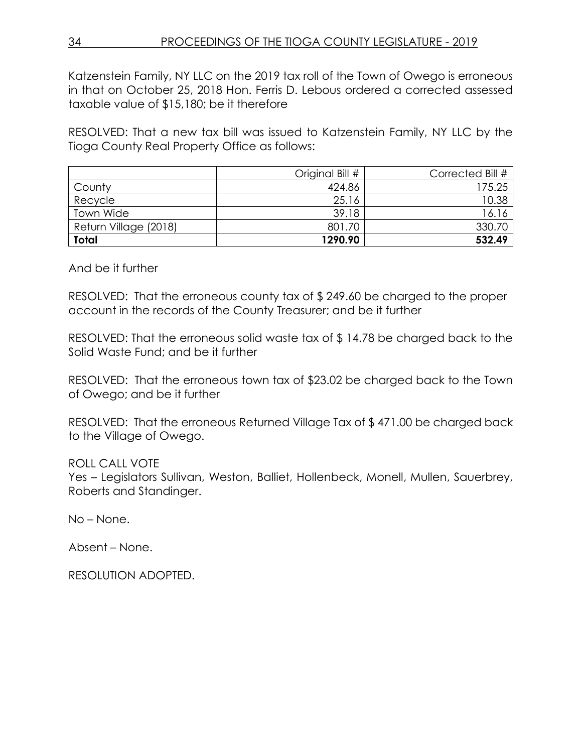Katzenstein Family, NY LLC on the 2019 tax roll of the Town of Owego is erroneous in that on October 25, 2018 Hon. Ferris D. Lebous ordered a corrected assessed taxable value of \$15,180; be it therefore

RESOLVED: That a new tax bill was issued to Katzenstein Family, NY LLC by the Tioga County Real Property Office as follows:

|                       | Original Bill # | Corrected Bill # |
|-----------------------|-----------------|------------------|
| County                | 424.86          | 175.25           |
| Recycle               | 25.16           | 10.38            |
| <b>Town Wide</b>      | 39.18           | 16.16            |
| Return Village (2018) | 801.70          | 330.70           |
| <b>Total</b>          | 1290.90         | 532.49           |

And be it further

RESOLVED: That the erroneous county tax of \$ 249.60 be charged to the proper account in the records of the County Treasurer; and be it further

RESOLVED: That the erroneous solid waste tax of \$ 14.78 be charged back to the Solid Waste Fund; and be it further

RESOLVED: That the erroneous town tax of \$23.02 be charged back to the Town of Owego; and be it further

RESOLVED: That the erroneous Returned Village Tax of \$ 471.00 be charged back to the Village of Owego.

ROLL CALL VOTE

Yes – Legislators Sullivan, Weston, Balliet, Hollenbeck, Monell, Mullen, Sauerbrey, Roberts and Standinger.

No – None.

Absent – None.

RESOLUTION ADOPTED.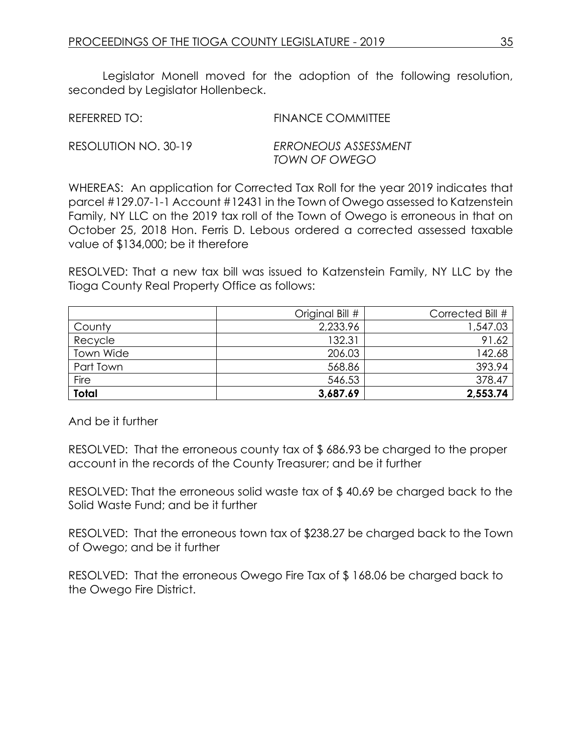Legislator Monell moved for the adoption of the following resolution, seconded by Legislator Hollenbeck.

REFERRED TO: FINANCE COMMITTEE

RESOLUTION NO. 30-19 *ERRONEOUS ASSESSMENT TOWN OF OWEGO*

WHEREAS: An application for Corrected Tax Roll for the year 2019 indicates that parcel #129.07-1-1 Account #12431 in the Town of Owego assessed to Katzenstein Family, NY LLC on the 2019 tax roll of the Town of Owego is erroneous in that on October 25, 2018 Hon. Ferris D. Lebous ordered a corrected assessed taxable value of \$134,000; be it therefore

RESOLVED: That a new tax bill was issued to Katzenstein Family, NY LLC by the Tioga County Real Property Office as follows:

|              | Original Bill # | Corrected Bill # |
|--------------|-----------------|------------------|
| County       | 2,233.96        | 1,547.03         |
| Recycle      | 132.31          | 91.62            |
| Town Wide    | 206.03          | 142.68           |
| Part Town    | 568.86          | 393.94           |
| Fire         | 546.53          | 378.47           |
| <b>Total</b> | 3,687.69        | 2,553.74         |

And be it further

RESOLVED: That the erroneous county tax of \$ 686.93 be charged to the proper account in the records of the County Treasurer; and be it further

RESOLVED: That the erroneous solid waste tax of \$ 40.69 be charged back to the Solid Waste Fund; and be it further

RESOLVED: That the erroneous town tax of \$238.27 be charged back to the Town of Owego; and be it further

RESOLVED: That the erroneous Owego Fire Tax of \$ 168.06 be charged back to the Owego Fire District.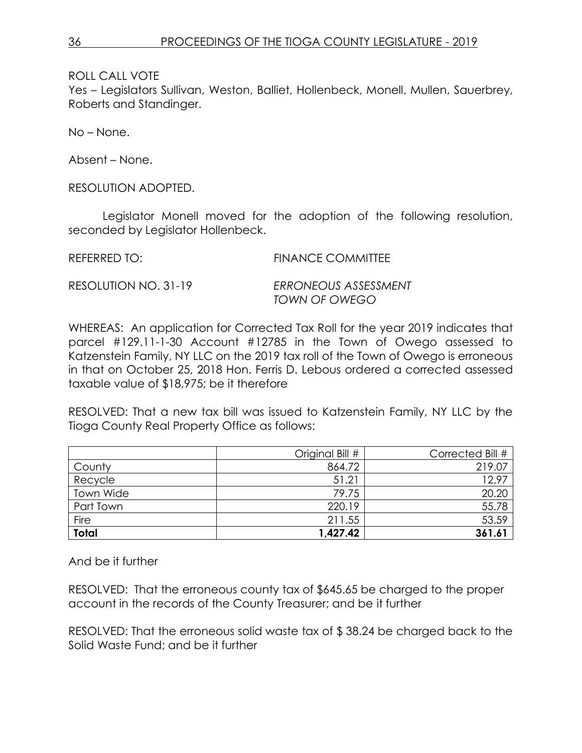Yes – Legislators Sullivan, Weston, Balliet, Hollenbeck, Monell, Mullen, Sauerbrey, Roberts and Standinger.

No – None.

Absent – None.

RESOLUTION ADOPTED.

Legislator Monell moved for the adoption of the following resolution, seconded by Legislator Hollenbeck.

REFERRED TO: FINANCE COMMITTEE

RESOLUTION NO. 31-19 *ERRONEOUS ASSESSMENT TOWN OF OWEGO*

WHEREAS: An application for Corrected Tax Roll for the year 2019 indicates that parcel #129.11-1-30 Account #12785 in the Town of Owego assessed to Katzenstein Family, NY LLC on the 2019 tax roll of the Town of Owego is erroneous in that on October 25, 2018 Hon. Ferris D. Lebous ordered a corrected assessed taxable value of \$18,975; be it therefore

RESOLVED: That a new tax bill was issued to Katzenstein Family, NY LLC by the Tioga County Real Property Office as follows:

|              | Original Bill # | Corrected Bill # |
|--------------|-----------------|------------------|
| County       | 864.72          | 219.07           |
| Recycle      | 51.21           | 12.97            |
| Town Wide    | 79.75           | 20.20            |
| Part Town    | 220.19          | 55.78            |
| Fire         | 211.55          | 53.59            |
| <b>Total</b> | 1,427.42        | 361.6'           |

And be it further

RESOLVED: That the erroneous county tax of \$645.65 be charged to the proper account in the records of the County Treasurer; and be it further

RESOLVED: That the erroneous solid waste tax of \$ 38.24 be charged back to the Solid Waste Fund; and be it further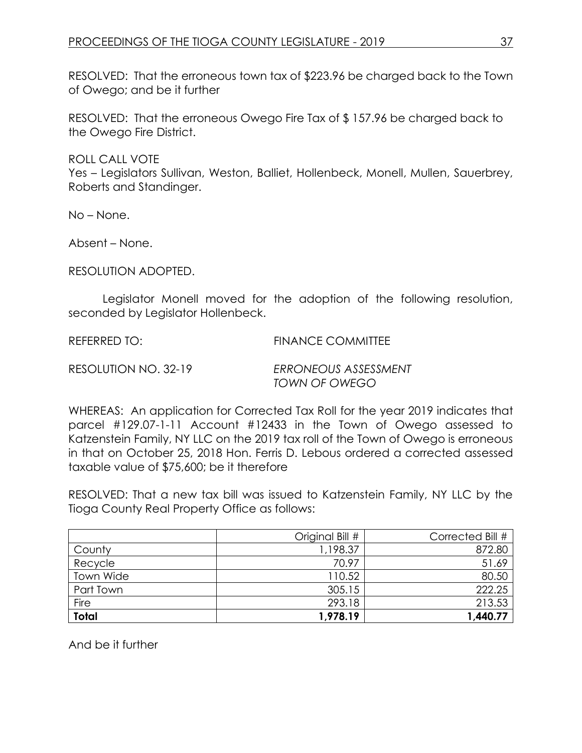RESOLVED: That the erroneous town tax of \$223.96 be charged back to the Town of Owego; and be it further

RESOLVED: That the erroneous Owego Fire Tax of \$ 157.96 be charged back to the Owego Fire District.

ROLL CALL VOTE

Yes – Legislators Sullivan, Weston, Balliet, Hollenbeck, Monell, Mullen, Sauerbrey, Roberts and Standinger.

No – None.

Absent – None.

RESOLUTION ADOPTED.

Legislator Monell moved for the adoption of the following resolution, seconded by Legislator Hollenbeck.

REFERRED TO: FINANCE COMMITTEE

RESOLUTION NO. 32-19 *ERRONEOUS ASSESSMENT TOWN OF OWEGO*

WHEREAS: An application for Corrected Tax Roll for the year 2019 indicates that parcel #129.07-1-11 Account #12433 in the Town of Owego assessed to Katzenstein Family, NY LLC on the 2019 tax roll of the Town of Owego is erroneous in that on October 25, 2018 Hon. Ferris D. Lebous ordered a corrected assessed taxable value of \$75,600; be it therefore

RESOLVED: That a new tax bill was issued to Katzenstein Family, NY LLC by the Tioga County Real Property Office as follows:

|              | Original Bill # | Corrected Bill # |
|--------------|-----------------|------------------|
| County       | 1,198.37        | 872.80           |
| Recycle      | 70.97           | 51.69            |
| Town Wide    | 110.52          | 80.50            |
| Part Town    | 305.15          | 222.25           |
| Fire         | 293.18          | 213.53           |
| <b>Total</b> | 1,978.19        | 1,440.77         |

And be it further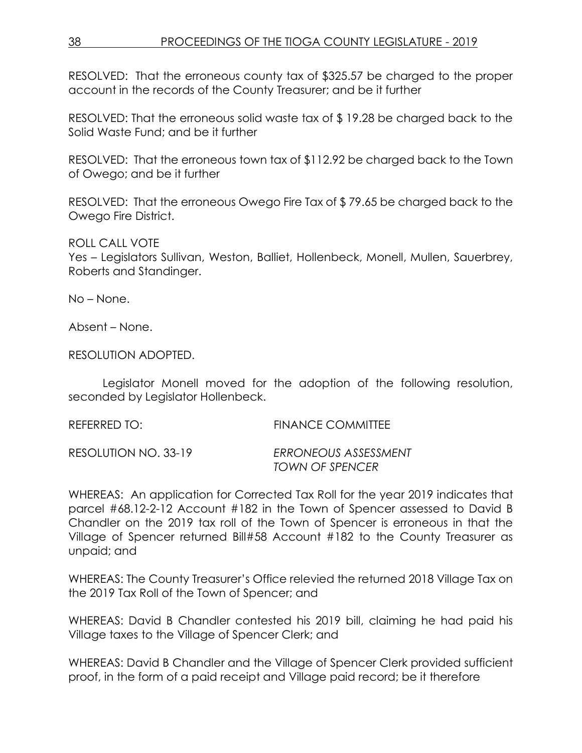RESOLVED: That the erroneous county tax of \$325.57 be charged to the proper account in the records of the County Treasurer; and be it further

RESOLVED: That the erroneous solid waste tax of \$ 19.28 be charged back to the Solid Waste Fund; and be it further

RESOLVED: That the erroneous town tax of \$112.92 be charged back to the Town of Owego; and be it further

RESOLVED: That the erroneous Owego Fire Tax of \$ 79.65 be charged back to the Owego Fire District.

ROLL CALL VOTE

Yes – Legislators Sullivan, Weston, Balliet, Hollenbeck, Monell, Mullen, Sauerbrey, Roberts and Standinger.

No – None.

Absent – None.

RESOLUTION ADOPTED.

Legislator Monell moved for the adoption of the following resolution, seconded by Legislator Hollenbeck.

REFERRED TO: FINANCE COMMITTEE RESOLUTION NO. 33-19 *ERRONEOUS ASSESSMENT TOWN OF SPENCER* 

WHEREAS: An application for Corrected Tax Roll for the year 2019 indicates that parcel #68.12-2-12 Account #182 in the Town of Spencer assessed to David B Chandler on the 2019 tax roll of the Town of Spencer is erroneous in that the Village of Spencer returned Bill#58 Account #182 to the County Treasurer as unpaid; and

WHEREAS: The County Treasurer's Office relevied the returned 2018 Village Tax on the 2019 Tax Roll of the Town of Spencer; and

WHEREAS: David B Chandler contested his 2019 bill, claiming he had paid his Village taxes to the Village of Spencer Clerk; and

WHEREAS: David B Chandler and the Village of Spencer Clerk provided sufficient proof, in the form of a paid receipt and Village paid record; be it therefore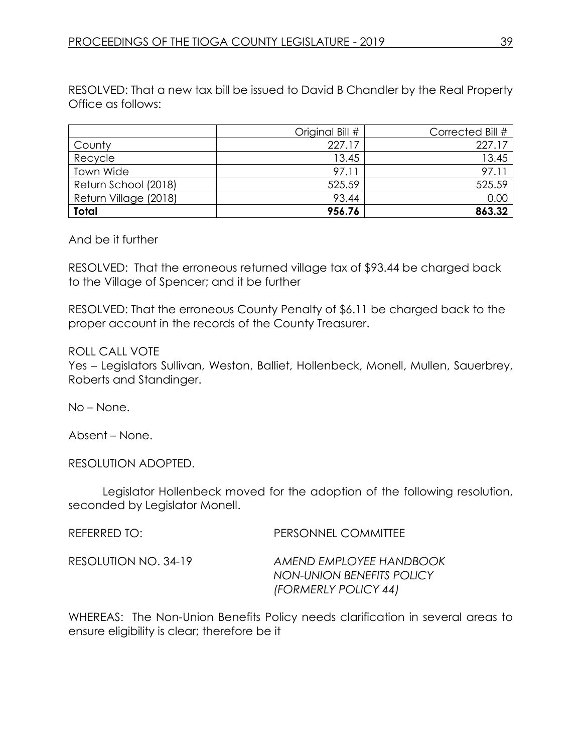RESOLVED: That a new tax bill be issued to David B Chandler by the Real Property Office as follows:

|                       | Original Bill # | Corrected Bill # |
|-----------------------|-----------------|------------------|
| County                | 227.17          | 227.17           |
| Recycle               | 13.45           | 13.45            |
| Town Wide             | 97.11           | $97.1^{\circ}$   |
| Return School (2018)  | 525.59          | 525.59           |
| Return Village (2018) | 93.44           | 0.00             |
| <b>Total</b>          | 956.76          | 863.32           |

#### And be it further

RESOLVED: That the erroneous returned village tax of \$93.44 be charged back to the Village of Spencer; and it be further

RESOLVED: That the erroneous County Penalty of \$6.11 be charged back to the proper account in the records of the County Treasurer.

#### ROLL CALL VOTE

Yes – Legislators Sullivan, Weston, Balliet, Hollenbeck, Monell, Mullen, Sauerbrey, Roberts and Standinger.

No – None.

Absent – None.

RESOLUTION ADOPTED.

Legislator Hollenbeck moved for the adoption of the following resolution, seconded by Legislator Monell.

REFERRED TO: PERSONNEL COMMITTEE

RESOLUTION NO. 34-19 *AMEND EMPLOYEE HANDBOOK NON-UNION BENEFITS POLICY (FORMERLY POLICY 44)*

WHEREAS: The Non-Union Benefits Policy needs clarification in several areas to ensure eligibility is clear; therefore be it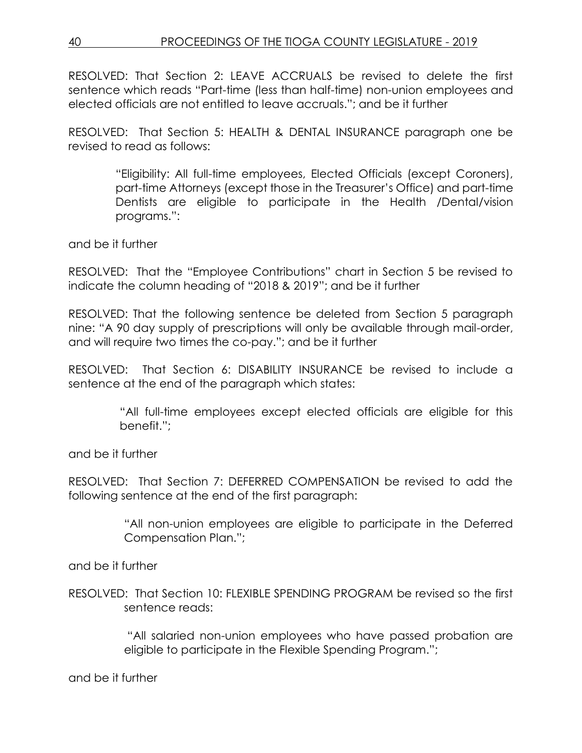RESOLVED: That Section 2: LEAVE ACCRUALS be revised to delete the first sentence which reads "Part-time (less than half-time) non-union employees and elected officials are not entitled to leave accruals."; and be it further

RESOLVED: That Section 5: HEALTH & DENTAL INSURANCE paragraph one be revised to read as follows:

> "Eligibility: All full-time employees, Elected Officials (except Coroners), part-time Attorneys (except those in the Treasurer's Office) and part-time Dentists are eligible to participate in the Health /Dental/vision programs.":

and be it further

RESOLVED: That the "Employee Contributions" chart in Section 5 be revised to indicate the column heading of "2018 & 2019"; and be it further

RESOLVED: That the following sentence be deleted from Section 5 paragraph nine: "A 90 day supply of prescriptions will only be available through mail-order, and will require two times the co-pay."; and be it further

RESOLVED: That Section 6: DISABILITY INSURANCE be revised to include a sentence at the end of the paragraph which states:

> "All full-time employees except elected officials are eligible for this benefit.";

and be it further

RESOLVED: That Section 7: DEFERRED COMPENSATION be revised to add the following sentence at the end of the first paragraph:

> "All non-union employees are eligible to participate in the Deferred Compensation Plan.";

and be it further

RESOLVED: That Section 10: FLEXIBLE SPENDING PROGRAM be revised so the first sentence reads:

> "All salaried non-union employees who have passed probation are eligible to participate in the Flexible Spending Program.";

and be it further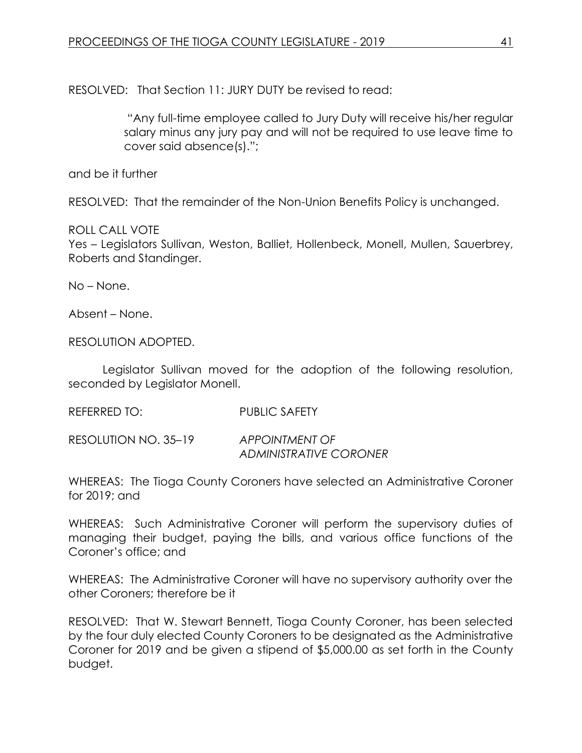RESOLVED: That Section 11: JURY DUTY be revised to read:

"Any full-time employee called to Jury Duty will receive his/her regular salary minus any jury pay and will not be required to use leave time to cover said absence(s).";

and be it further

RESOLVED: That the remainder of the Non-Union Benefits Policy is unchanged.

# ROLL CALL VOTE

Yes – Legislators Sullivan, Weston, Balliet, Hollenbeck, Monell, Mullen, Sauerbrey, Roberts and Standinger.

No – None.

Absent – None.

RESOLUTION ADOPTED.

Legislator Sullivan moved for the adoption of the following resolution, seconded by Legislator Monell.

REFERRED TO: PUBLIC SAFETY

RESOLUTION NO. 35–19 *APPOINTMENT OF ADMINISTRATIVE CORONER*

WHEREAS: The Tioga County Coroners have selected an Administrative Coroner for 2019; and

WHEREAS: Such Administrative Coroner will perform the supervisory duties of managing their budget, paying the bills, and various office functions of the Coroner's office; and

WHEREAS: The Administrative Coroner will have no supervisory authority over the other Coroners; therefore be it

RESOLVED: That W. Stewart Bennett, Tioga County Coroner, has been selected by the four duly elected County Coroners to be designated as the Administrative Coroner for 2019 and be given a stipend of \$5,000.00 as set forth in the County budget.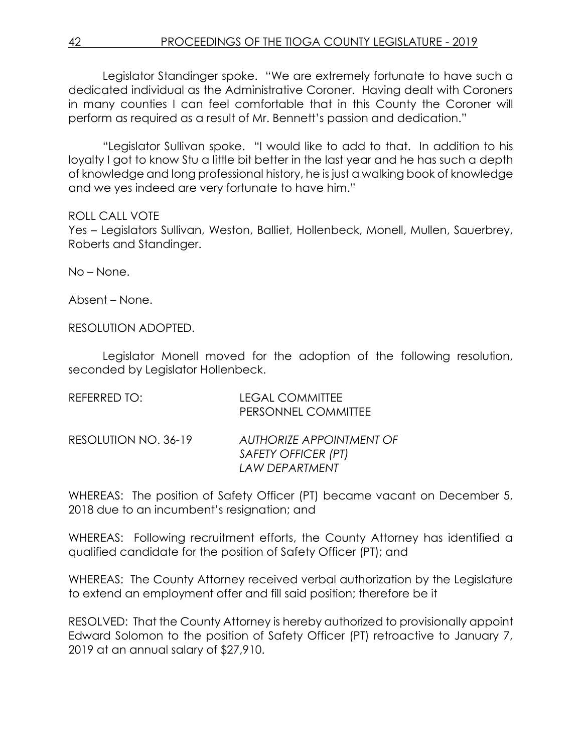Legislator Standinger spoke. "We are extremely fortunate to have such a dedicated individual as the Administrative Coroner. Having dealt with Coroners in many counties I can feel comfortable that in this County the Coroner will perform as required as a result of Mr. Bennett's passion and dedication."

"Legislator Sullivan spoke. "I would like to add to that. In addition to his loyalty I got to know Stu a little bit better in the last year and he has such a depth of knowledge and long professional history, he is just a walking book of knowledge and we yes indeed are very fortunate to have him."

#### ROLL CALL VOTE

Yes – Legislators Sullivan, Weston, Balliet, Hollenbeck, Monell, Mullen, Sauerbrey, Roberts and Standinger.

No – None.

Absent – None.

RESOLUTION ADOPTED.

Legislator Monell moved for the adoption of the following resolution, seconded by Legislator Hollenbeck.

| REFERRED TO:         | <b>LEGAL COMMITTEE</b><br>PERSONNEL COMMITTEE                     |
|----------------------|-------------------------------------------------------------------|
| RESOLUTION NO. 36-19 | AUTHORIZE APPOINTMENT OF<br>SAFETY OFFICER (PT)<br>LAW DEPARTMENT |

WHEREAS: The position of Safety Officer (PT) became vacant on December 5, 2018 due to an incumbent's resignation; and

WHEREAS: Following recruitment efforts, the County Attorney has identified a qualified candidate for the position of Safety Officer (PT); and

WHEREAS: The County Attorney received verbal authorization by the Legislature to extend an employment offer and fill said position; therefore be it

RESOLVED: That the County Attorney is hereby authorized to provisionally appoint Edward Solomon to the position of Safety Officer (PT) retroactive to January 7, 2019 at an annual salary of \$27,910.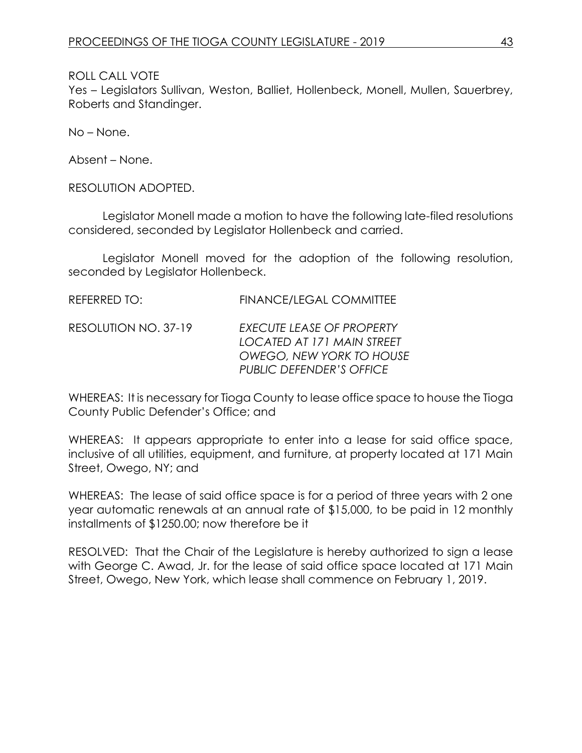Yes – Legislators Sullivan, Weston, Balliet, Hollenbeck, Monell, Mullen, Sauerbrey, Roberts and Standinger.

No – None.

Absent – None.

RESOLUTION ADOPTED.

Legislator Monell made a motion to have the following late-filed resolutions considered, seconded by Legislator Hollenbeck and carried.

Legislator Monell moved for the adoption of the following resolution, seconded by Legislator Hollenbeck.

| REFERRED TO:         | <b>FINANCE/LEGAL COMMITTEE</b>                                                                                                       |
|----------------------|--------------------------------------------------------------------------------------------------------------------------------------|
| RESOLUTION NO. 37-19 | <b>EXECUTE LEASE OF PROPERTY</b><br>LOCATED AT 171 MAIN STREET<br><b>OWEGO, NEW YORK TO HOUSE</b><br><b>PUBLIC DEFENDER'S OFFICE</b> |

WHEREAS: It is necessary for Tioga County to lease office space to house the Tioga County Public Defender's Office; and

WHEREAS: It appears appropriate to enter into a lease for said office space, inclusive of all utilities, equipment, and furniture, at property located at 171 Main Street, Owego, NY; and

WHEREAS: The lease of said office space is for a period of three years with 2 one year automatic renewals at an annual rate of \$15,000, to be paid in 12 monthly installments of \$1250.00; now therefore be it

RESOLVED: That the Chair of the Legislature is hereby authorized to sign a lease with George C. Awad, Jr. for the lease of said office space located at 171 Main Street, Owego, New York, which lease shall commence on February 1, 2019.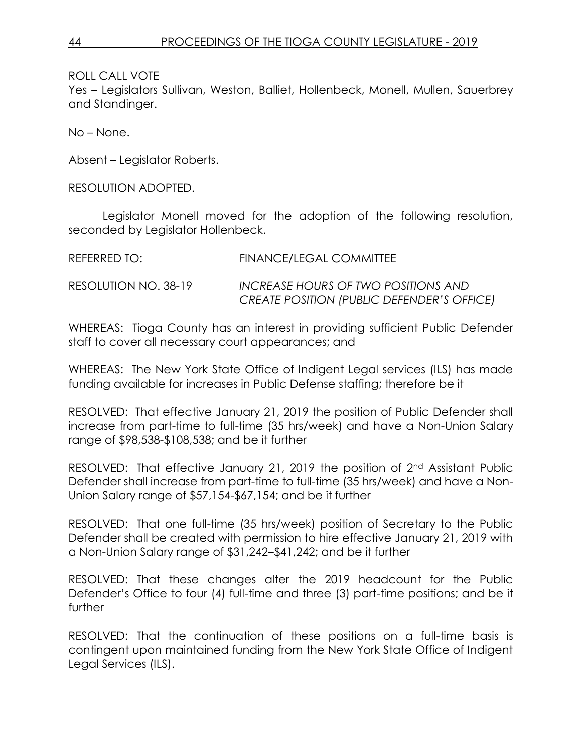Yes – Legislators Sullivan, Weston, Balliet, Hollenbeck, Monell, Mullen, Sauerbrey and Standinger.

No – None.

Absent – Legislator Roberts.

RESOLUTION ADOPTED.

Legislator Monell moved for the adoption of the following resolution, seconded by Legislator Hollenbeck.

| REFERRED TO:         | <b>FINANCE/LEGAL COMMITTEE</b>                    |
|----------------------|---------------------------------------------------|
| RESOLUTION NO. 38-19 | INCREASE HOURS OF TWO POSITIONS AND               |
|                      | <b>CREATE POSITION (PUBLIC DEFENDER'S OFFICE)</b> |

WHEREAS: Tioga County has an interest in providing sufficient Public Defender staff to cover all necessary court appearances; and

WHEREAS: The New York State Office of Indigent Legal services (ILS) has made funding available for increases in Public Defense staffing; therefore be it

RESOLVED: That effective January 21, 2019 the position of Public Defender shall increase from part-time to full-time (35 hrs/week) and have a Non-Union Salary range of \$98,538-\$108,538; and be it further

RESOLVED: That effective January 21, 2019 the position of 2<sup>nd</sup> Assistant Public Defender shall increase from part-time to full-time (35 hrs/week) and have a Non-Union Salary range of \$57,154-\$67,154; and be it further

RESOLVED: That one full-time (35 hrs/week) position of Secretary to the Public Defender shall be created with permission to hire effective January 21, 2019 with a Non-Union Salary range of \$31,242–\$41,242; and be it further

RESOLVED: That these changes alter the 2019 headcount for the Public Defender's Office to four (4) full-time and three (3) part-time positions; and be it further

RESOLVED: That the continuation of these positions on a full-time basis is contingent upon maintained funding from the New York State Office of Indigent Legal Services (ILS).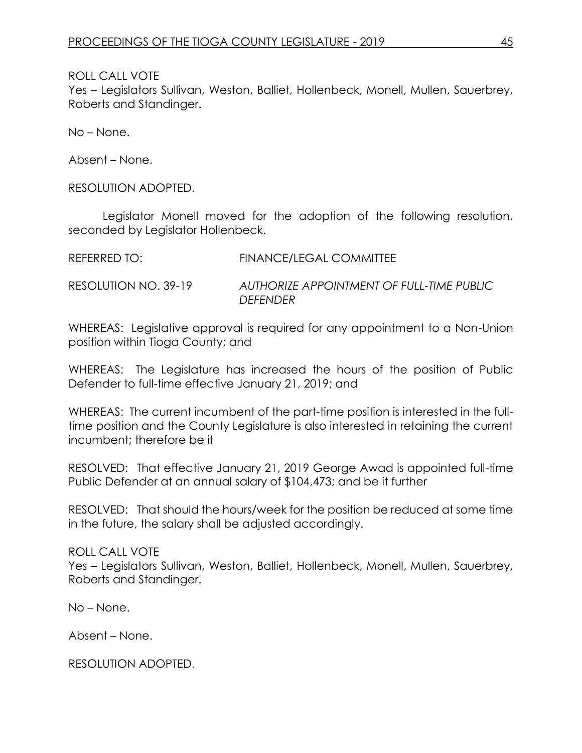Yes – Legislators Sullivan, Weston, Balliet, Hollenbeck, Monell, Mullen, Sauerbrey, Roberts and Standinger.

No – None.

Absent – None.

RESOLUTION ADOPTED.

Legislator Monell moved for the adoption of the following resolution, seconded by Legislator Hollenbeck.

| REFERRED TO:         | FINANCE/LEGAL COMMITTEE                                      |
|----------------------|--------------------------------------------------------------|
| RESOLUTION NO. 39-19 | AUTHORIZE APPOINTMENT OF FULL-TIME PUBLIC<br><b>DEFENDER</b> |

WHEREAS: Legislative approval is required for any appointment to a Non-Union position within Tioga County; and

WHEREAS: The Legislature has increased the hours of the position of Public Defender to full-time effective January 21, 2019; and

WHEREAS: The current incumbent of the part-time position is interested in the fulltime position and the County Legislature is also interested in retaining the current incumbent; therefore be it

RESOLVED: That effective January 21, 2019 George Awad is appointed full-time Public Defender at an annual salary of \$104,473; and be it further

RESOLVED: That should the hours/week for the position be reduced at some time in the future, the salary shall be adjusted accordingly.

ROLL CALL VOTE

Yes – Legislators Sullivan, Weston, Balliet, Hollenbeck, Monell, Mullen, Sauerbrey, Roberts and Standinger.

No – None.

Absent – None.

RESOLUTION ADOPTED.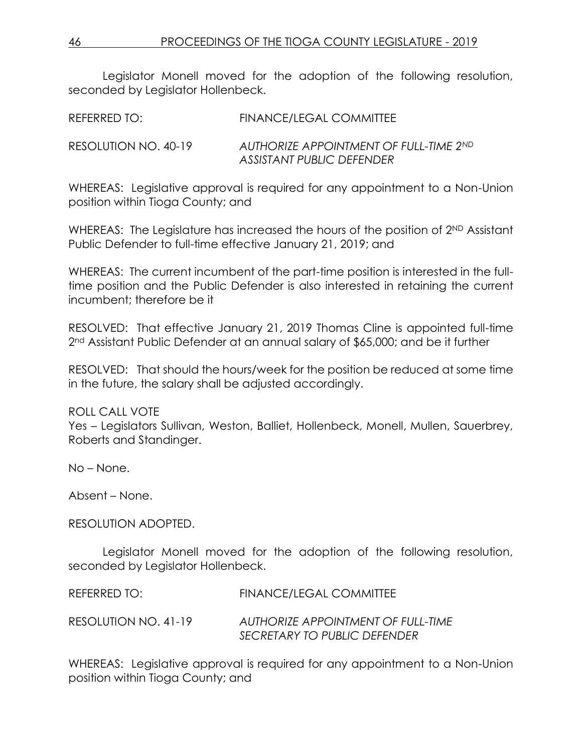Legislator Monell moved for the adoption of the following resolution, seconded by Legislator Hollenbeck.

REFERRED TO: FINANCE/LEGAL COMMITTEE

RESOLUTION NO. 40-19 *AUTHORIZE APPOINTMENT OF FULL-TIME 2ND ASSISTANT PUBLIC DEFENDER*

WHEREAS: Legislative approval is required for any appointment to a Non-Union position within Tioga County; and

WHEREAS: The Legislature has increased the hours of the position of 2<sup>ND</sup> Assistant Public Defender to full-time effective January 21, 2019; and

WHEREAS: The current incumbent of the part-time position is interested in the fulltime position and the Public Defender is also interested in retaining the current incumbent; therefore be it

RESOLVED: That effective January 21, 2019 Thomas Cline is appointed full-time 2<sup>nd</sup> Assistant Public Defender at an annual salary of \$65,000; and be it further

RESOLVED: That should the hours/week for the position be reduced at some time in the future, the salary shall be adjusted accordingly.

# ROLL CALL VOTE

Yes – Legislators Sullivan, Weston, Balliet, Hollenbeck, Monell, Mullen, Sauerbrey, Roberts and Standinger.

No – None.

Absent – None.

#### RESOLUTION ADOPTED.

Legislator Monell moved for the adoption of the following resolution, seconded by Legislator Hollenbeck.

REFERRED TO: FINANCE/LEGAL COMMITTEE RESOLUTION NO. 41-19 *AUTHORIZE APPOINTMENT OF FULL-TIME SECRETARY TO PUBLIC DEFENDER*

WHEREAS: Legislative approval is required for any appointment to a Non-Union position within Tioga County; and